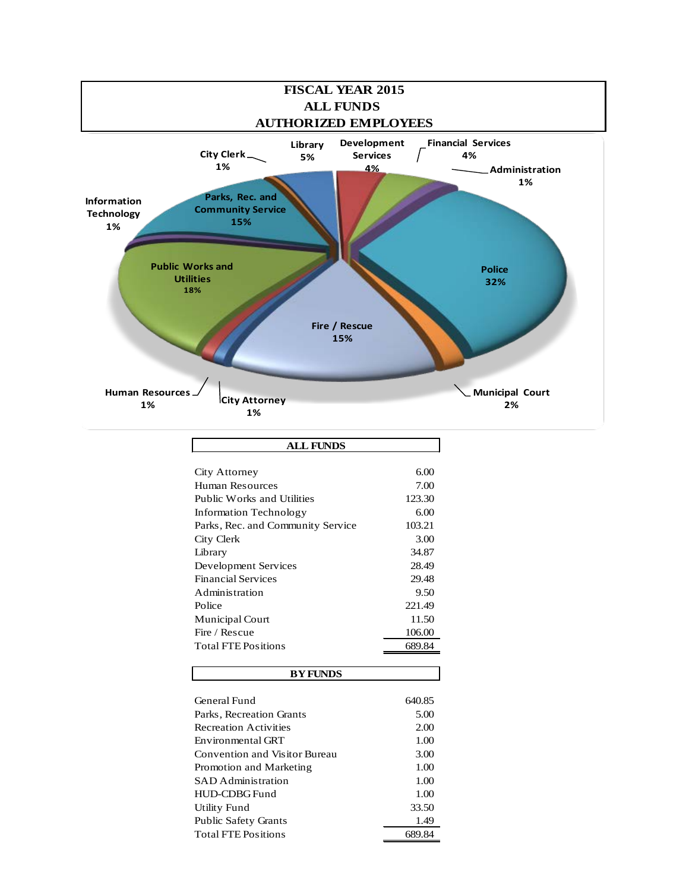

| <b>ALL FUNDS</b>                  |        |
|-----------------------------------|--------|
|                                   |        |
| City Attorney                     | 6.00   |
| Human Resources                   | 7.00   |
| Public Works and Utilities        | 123.30 |
| <b>Information Technology</b>     | 6.00   |
| Parks, Rec. and Community Service | 103.21 |
| City Clerk                        | 3.00   |
| Library                           | 34.87  |
| Development Services              | 28.49  |
| <b>Financial Services</b>         | 29.48  |
| <b>Administration</b>             | 9.50   |
| Police                            | 221.49 |
| Municipal Court                   | 11.50  |
| Fire / Rescue                     | 106.00 |
| <b>Total FTE Positions</b>        | 689.84 |
|                                   |        |
| <b>BY FUNDS</b>                   |        |

| General Fund                  | 640.85 |
|-------------------------------|--------|
| Parks, Recreation Grants      | 5.00   |
| <b>Recreation Activities</b>  | 2.00   |
| Environmental GRT             | 1.00   |
| Convention and Visitor Bureau | 3.00   |
| Promotion and Marketing       | 1.00   |
| <b>SAD</b> Administration     | 1.00   |
| HUD-CDBG Fund                 | 1.00   |
| Utility Fund                  | 33.50  |
| <b>Public Safety Grants</b>   | 1.49   |
| <b>Total FTE Positions</b>    | 689.84 |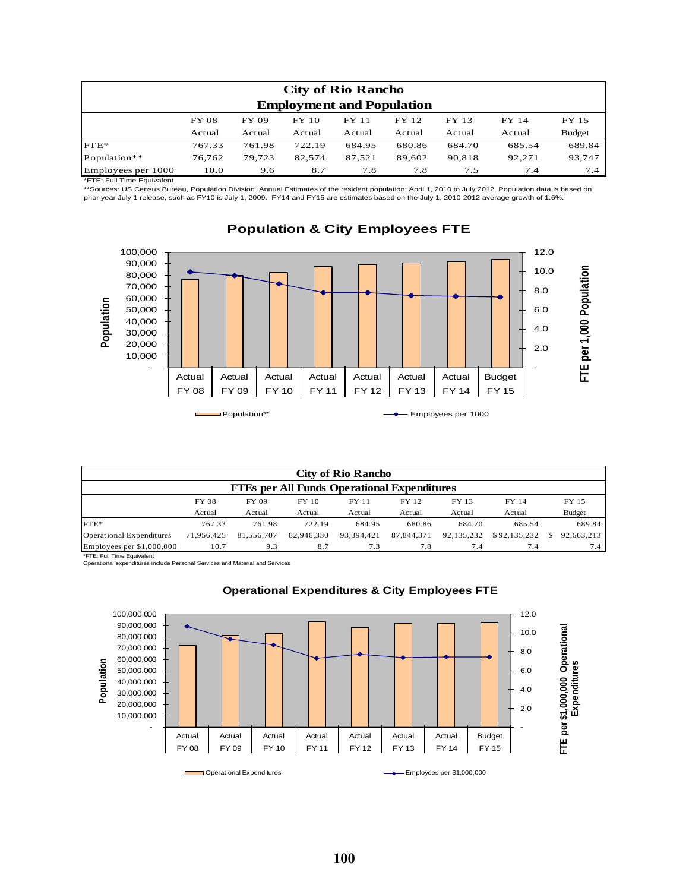|                                  | <b>City of Rio Rancho</b> |        |        |        |        |        |        |               |  |  |  |
|----------------------------------|---------------------------|--------|--------|--------|--------|--------|--------|---------------|--|--|--|
| <b>Employment and Population</b> |                           |        |        |        |        |        |        |               |  |  |  |
|                                  | <b>FY 08</b>              | FY 09  | FY 10  | FY 11  | FY 12  | FY 13  | FY 14  | FY 15         |  |  |  |
|                                  | Actual                    | Actual | Actual | Actual | Actual | Actual | Actual | <b>Budget</b> |  |  |  |
| $FTE*$                           | 767.33                    | 761.98 | 722.19 | 684.95 | 680.86 | 684.70 | 685.54 | 689.84        |  |  |  |
| Population**                     | 76.762                    | 79.723 | 82,574 | 87,521 | 89.602 | 90,818 | 92.271 | 93,747        |  |  |  |
| Employees per 1000               | 10.0                      | 9.6    | 8.7    | 7.8    | 7.8    | 7.5    | 7.4    | 7.4           |  |  |  |

\*FTE: Full Time Equivalent

\*\*Sources: US Census Bureau, Population Division. Annual Estimates of the resident population: April 1, 2010 to July 2012. Population data is based on prior year July 1 release, such as FY10 is July 1, 2009. FY14 and FY15 are estimates based on the July 1, 2010-2012 average growth of 1.6%.



# **Population & City Employees FTE**

| <b>City of Rio Rancho</b>                          |              |            |            |            |            |            |              |  |               |  |  |
|----------------------------------------------------|--------------|------------|------------|------------|------------|------------|--------------|--|---------------|--|--|
| <b>FTEs per All Funds Operational Expenditures</b> |              |            |            |            |            |            |              |  |               |  |  |
|                                                    | <b>FY 08</b> | FY 09      | FY 10      | FY 11      | FY 12      | FY 13      | FY 14        |  | FY 15         |  |  |
|                                                    | Actual       | Actual     | Actual     | Actual     | Actual     | Actual     | Actual       |  | <b>Budget</b> |  |  |
| $FTE*$                                             | 767.33       | 761.98     | 722.19     | 684.95     | 680.86     | 684.70     | 685.54       |  | 689.84        |  |  |
| Operational Expenditures                           | 71.956.425   | 81.556.707 | 82,946,330 | 93.394.421 | 87,844,371 | 92.135.232 | \$92,135,232 |  | 92.663.213    |  |  |
| Employees per \$1,000,000                          | 10.7         | 9.3        | 8.7        | 7.3        | 7.8        | 7.4        | 7.4          |  | 7.4           |  |  |

\*FTE: Full Time Equivalent

Operational expenditures include Personal Services and Material and Services



# **Operational Expenditures & City Employees FTE**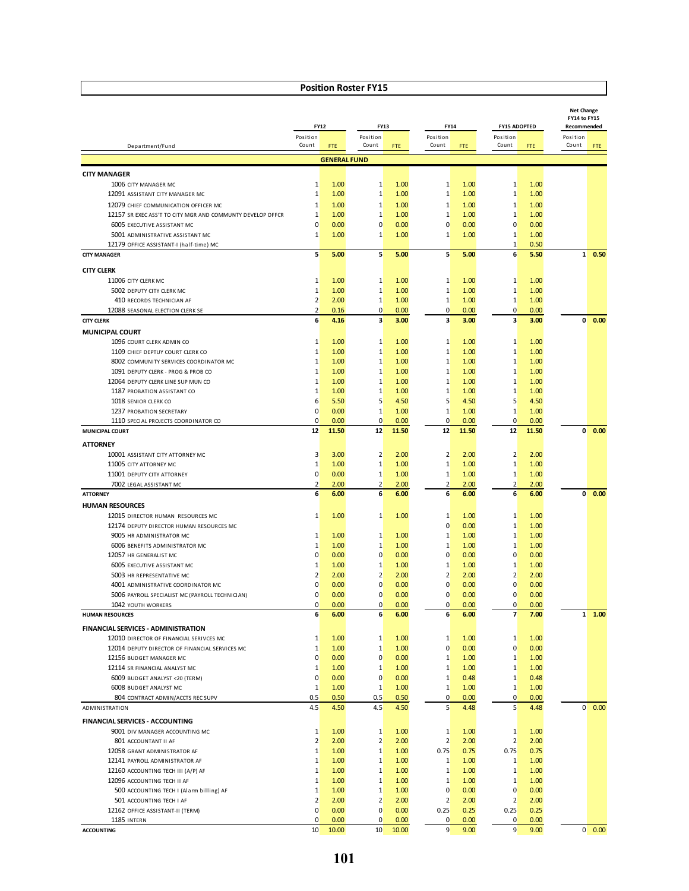|                                                                                                    |                               |                     |                                    |              |                                   |              |                                |                     |                   | <b>Net Change</b><br>FY14 to FY15 |  |
|----------------------------------------------------------------------------------------------------|-------------------------------|---------------------|------------------------------------|--------------|-----------------------------------|--------------|--------------------------------|---------------------|-------------------|-----------------------------------|--|
|                                                                                                    | <b>FY12</b>                   |                     | <b>FY13</b>                        |              |                                   | <b>FY14</b>  |                                | <b>FY15 ADOPTED</b> | Recommended       |                                   |  |
|                                                                                                    | Position<br>Count             |                     | Position<br>Count                  |              | Position<br>Count                 |              | Position<br>Count              |                     | Position<br>Count |                                   |  |
| Department/Fund                                                                                    |                               | <b>FTE</b>          |                                    | <b>FTE</b>   |                                   | <b>FTE</b>   |                                | FTE                 |                   | <b>FTE</b>                        |  |
|                                                                                                    |                               | <b>GENERAL FUND</b> |                                    |              |                                   |              |                                |                     |                   |                                   |  |
| <b>CITY MANAGER</b>                                                                                |                               |                     |                                    |              |                                   |              |                                |                     |                   |                                   |  |
| 1006 CITY MANAGER MC                                                                               | 1                             | 1.00                | $\mathbf{1}$                       | 1.00         | $\mathbf{1}$                      | 1.00         | $\mathbf{1}$                   | 1.00                |                   |                                   |  |
| 12091 ASSISTANT CITY MANAGER MC                                                                    | 1                             | 1.00                | $\mathbf{1}$                       | 1.00         | $\mathbf{1}$                      | 1.00         | $\mathbf{1}$                   | 1.00                |                   |                                   |  |
| 12079 CHIEF COMMUNICATION OFFICER MC<br>12157 SR EXEC ASS'T TO CITY MGR AND COMMUNTY DEVELOP OFFCR | $\mathbf{1}$<br>1             | 1.00<br>1.00        | $1\overline{ }$<br>$\mathbf{1}$    | 1.00<br>1.00 | $\mathbf 1$<br>$\mathbf{1}$       | 1.00<br>1.00 | $\mathbf{1}$<br>$\mathbf{1}$   | 1.00<br>1.00        |                   |                                   |  |
| 6005 EXECUTIVE ASSISTANT MC                                                                        | $\mathbf 0$                   | 0.00                | $\overline{0}$                     | 0.00         | $\overline{0}$                    | 0.00         | $\overline{0}$                 | 0.00                |                   |                                   |  |
| 5001 ADMINISTRATIVE ASSISTANT MC                                                                   | $\mathbf{1}$                  | 1.00                | 1                                  | 1.00         | $\mathbf{1}$                      | 1.00         | $\mathbf{1}$                   | 1.00                |                   |                                   |  |
| 12179 OFFICE ASSISTANT-I (half-time) MC                                                            |                               |                     |                                    |              |                                   |              | $\mathbf{1}$                   | 0.50                |                   |                                   |  |
| <b>CITY MANAGER</b>                                                                                | 5                             | 5.00                | $\overline{\mathbf{5}}$            | 5.00         | $\overline{\mathbf{5}}$           | 5.00         | 6                              | 5.50                |                   | $1 - 0.50$                        |  |
| <b>CITY CLERK</b>                                                                                  |                               |                     |                                    |              |                                   |              |                                |                     |                   |                                   |  |
| 11006 CITY CLERK MC                                                                                | 1                             | 1.00                | 1                                  | 1.00         | $\mathbf{1}$                      | 1.00         | 1                              | 1.00                |                   |                                   |  |
| 5002 DEPUTY CITY CLERK MC                                                                          | $\mathbf{1}$                  | 1.00                | $\mathbf{1}$                       | 1.00         | $\mathbf{1}$                      | 1.00         | $\mathbf{1}$                   | 1.00                |                   |                                   |  |
| 410 RECORDS TECHNICIAN AF                                                                          | $\overline{2}$                | 2.00                | $\mathbf{1}$                       | 1.00         | $\mathbf{1}$                      | 1.00         | $\mathbf{1}$                   | 1.00                |                   |                                   |  |
| 12088 SEASONAL ELECTION CLERK SE                                                                   | $\overline{2}$                | 0.16                | $\overline{0}$                     | 0.00         | $\overline{0}$                    | 0.00         | $\overline{0}$                 | 0.00                |                   |                                   |  |
| <b>CITY CLERK</b>                                                                                  | 6                             | 4.16                | $\overline{\mathbf{3}}$            | 3.00         | $\overline{\mathbf{3}}$           | 3.00         | $\overline{\mathbf{3}}$        | 3.00                | $\mathbf{0}$      | 0.00                              |  |
| <b>MUNICIPAL COURT</b>                                                                             |                               |                     |                                    |              |                                   |              |                                |                     |                   |                                   |  |
| 1096 COURT CLERK ADMIN CO                                                                          | 1                             | 1.00                | 1                                  | 1.00         | 1                                 | 1.00         | 1                              | 1.00                |                   |                                   |  |
| 1109 CHIEF DEPTUY COURT CLERK CO                                                                   | $\mathbf{1}$<br>1             | 1.00<br>1.00        | $1\overline{ }$<br>$1\overline{ }$ | 1.00<br>1.00 | $\mathbf 1$<br>1                  | 1.00<br>1.00 | $\mathbf{1}$<br>$\mathbf{1}$   | 1.00<br>1.00        |                   |                                   |  |
| 8002 COMMUNITY SERVICES COORDINATOR MC<br>1091 DEPUTY CLERK - PROG & PROB CO                       | $\mathbf{1}$                  | 1.00                | $\mathbf{1}$                       | 1.00         | $\mathbf{1}$                      | 1.00         | $\mathbf{1}$                   | 1.00                |                   |                                   |  |
| 12064 DEPUTY CLERK LINE SUP MUN CO                                                                 | $\mathbf{1}$                  | 1.00                | $\mathbf{1}$                       | 1.00         | $\mathbf{1}$                      | 1.00         | $\mathbf{1}$                   | 1.00                |                   |                                   |  |
| 1187 PROBATION ASSISTANT CO                                                                        | $\mathbf{1}$                  | 1.00                | $1\,$                              | 1.00         | $\mathbf 1$                       | 1.00         | $\mathbf{1}$                   | 1.00                |                   |                                   |  |
| 1018 SENIOR CLERK CO                                                                               | 6                             | 5.50                | 5                                  | 4.50         | 5                                 | 4.50         | 5                              | 4.50                |                   |                                   |  |
| 1237 PROBATION SECRETARY                                                                           | $\mathbf 0$                   | 0.00                | $\mathbf{1}$                       | 1.00         | $1\overline{ }$                   | 1.00         | $\mathbf{1}$                   | 1.00                |                   |                                   |  |
| 1110 SPECIAL PROJECTS COORDINATOR CO                                                               | $\mathbf 0$                   | 0.00                | $\overline{0}$                     | 0.00         | $\overline{0}$                    | 0.00         | $\mathbf{0}$                   | 0.00                |                   |                                   |  |
| <b>MUNICIPAL COURT</b>                                                                             | 12                            | 11.50               | 12                                 | 11.50        | 12                                | 11.50        | 12                             | 11.50               | $\mathbf{0}$      | 0.00                              |  |
| <b>ATTORNEY</b>                                                                                    |                               |                     |                                    |              |                                   |              |                                |                     |                   |                                   |  |
| 10001 ASSISTANT CITY ATTORNEY MC                                                                   | 3                             | 3.00                | $\overline{2}$                     | 2.00         | $\overline{2}$                    | 2.00         | $\overline{2}$                 | 2.00                |                   |                                   |  |
| 11005 CITY ATTORNEY MC                                                                             | 1                             | 1.00                | $\mathbf{1}$                       | 1.00         | $\mathbf{1}$                      | 1.00         | $\mathbf{1}$                   | 1.00                |                   |                                   |  |
| 11001 DEPUTY CITY ATTORNEY<br>7002 LEGAL ASSISTANT MC                                              | $\mathbf 0$<br>$\overline{2}$ | 0.00<br>2.00        | $\mathbf{1}$<br>$\overline{2}$     | 1.00<br>2.00 | $\mathbf{1}$<br>2                 | 1.00<br>2.00 | $\mathbf{1}$<br>$\overline{2}$ | 1.00<br>2.00        |                   |                                   |  |
| <b>ATTORNEY</b>                                                                                    | 6                             | 6.00                | 6                                  | 6.00         | 6                                 | 6.00         | 6                              | 6.00                |                   | $0\ 0.00$                         |  |
| <b>HUMAN RESOURCES</b>                                                                             |                               |                     |                                    |              |                                   |              |                                |                     |                   |                                   |  |
| 12015 DIRECTOR HUMAN RESOURCES MC                                                                  | 1                             | 1.00                | $\mathbf{1}$                       | 1.00         | 1                                 | 1.00         | $\mathbf{1}$                   | 1.00                |                   |                                   |  |
| 12174 DEPUTY DIRECTOR HUMAN RESOURCES MC                                                           |                               |                     |                                    |              | $\overline{0}$                    | 0.00         | $\mathbf{1}$                   | 1.00                |                   |                                   |  |
| 9005 HR ADMINISTRATOR MC                                                                           | 1                             | 1.00                | $\mathbf{1}$                       | 1.00         | $\mathbf{1}$                      | 1.00         | $\mathbf{1}$                   | 1.00                |                   |                                   |  |
| 6006 BENEFITS ADMINISTRATOR MC                                                                     | 1                             | 1.00                | $\mathbf{1}$                       | 1.00         | 1                                 | 1.00         | $\mathbf{1}$                   | 1.00                |                   |                                   |  |
| 12057 HR GENERALIST MC                                                                             | $\mathbf 0$                   | 0.00                | $\mathbf 0$                        | 0.00         | $\mathbf 0$                       | 0.00         | $\mathbf{0}$                   | 0.00                |                   |                                   |  |
| 6005 EXECUTIVE ASSISTANT MC                                                                        | $\mathbf{1}$<br>2             | 1.00                | 1                                  | 1.00         | $\mathbf{1}$                      | 1.00         | 1<br>$\overline{2}$            | 1.00                |                   |                                   |  |
| 5003 HR REPRESENTATIVE MC<br>4001 ADMINISTRATIVE COORDINATOR MC                                    | 0                             | 2.00<br>0.00        | 2<br>$\mathbf 0$                   | 2.00<br>0.00 | $\overline{2}$<br>0               | 2.00<br>0.00 | $\mathbf{0}$                   | 2.00<br>0.00        |                   |                                   |  |
| 5006 PAYROLL SPECIALIST MC (PAYROLL TECHNICIAN)                                                    | 0                             | 0.00                | 0                                  | 0.00         | 0                                 | 0.00         | 0                              | 0.00                |                   |                                   |  |
| 1042 YOUTH WORKERS                                                                                 | 0                             | 0.00                | $\mathbf{0}$                       | 0.00         | $\overline{0}$                    | 0.00         | $\overline{0}$                 | 0.00                |                   |                                   |  |
| <b>HUMAN RESOURCES</b>                                                                             | 6                             | 6.00                | 6                                  | 6.00         | 6                                 | 6.00         | 7                              | 7.00                |                   | $1 - 1.00$                        |  |
| <b>FINANCIAL SERVICES - ADMINISTRATION</b>                                                         |                               |                     |                                    |              |                                   |              |                                |                     |                   |                                   |  |
| 12010 DIRECTOR OF FINANCIAL SERIVCES MC                                                            | $\mathbf{1}$                  | 1.00                | $\mathbf{1}$                       | 1.00         | $\mathbf{1}$                      | 1.00         | $\mathbf{1}$                   | 1.00                |                   |                                   |  |
| 12014 DEPUTY DIRECTOR OF FINANCIAL SERVICES MC                                                     | $\mathbf{1}$                  | 1.00                | $\mathbf{1}$                       | 1.00         | $\overline{0}$                    | 0.00         | $\overline{0}$                 | 0.00                |                   |                                   |  |
| 12156 BUDGET MANAGER MC                                                                            | $\mathbf 0$                   | 0.00                | $\overline{0}$                     | 0.00         | $\mathbf{1}$                      | 1.00         | $\mathbf{1}$                   | 1.00                |                   |                                   |  |
| 12114 SR FINANCIAL ANALYST MC                                                                      | $\mathbf{1}$                  | 1.00                | $\mathbf{1}$                       | 1.00         | $1\overline{ }$                   | 1.00         | $\mathbf{1}$                   | 1.00                |                   |                                   |  |
| 6009 BUDGET ANALYST < 20 (TERM)                                                                    | $\overline{0}$                | 0.00                | $\overline{0}$                     | 0.00         | $1\overline{ }$                   | 0.48         | $\mathbf{1}$                   | 0.48                |                   |                                   |  |
| <b>6008 BUDGET ANALYST MC</b><br>804 CONTRACT ADMIN/ACCTS REC SUPV                                 | $\mathbf{1}$<br>0.5           | 1.00<br>0.50        | $\mathbf{1}$<br>0.5                | 1.00<br>0.50 | $1\overline{ }$<br>$\overline{0}$ | 1.00<br>0.00 | $\mathbf{1}$<br>$\mathbf{0}$   | 1.00<br>0.00        |                   |                                   |  |
| ADMINISTRATION                                                                                     | 4.5                           | 4.50                | 4.5                                | 4.50         | $5\overline{)}$                   | 4.48         | $5\overline{)}$                | 4.48                |                   | 0.00<br>$\mathbf{0}$              |  |
|                                                                                                    |                               |                     |                                    |              |                                   |              |                                |                     |                   |                                   |  |
| <b>FINANCIAL SERVICES - ACCOUNTING</b><br>9001 DIV MANAGER ACCOUNTING MC                           | $\mathbf{1}$                  | 1.00                | $\mathbf{1}$                       | 1.00         | $\mathbf{1}$                      | 1.00         | $\mathbf{1}$                   | 1.00                |                   |                                   |  |
| 801 ACCOUNTANT II AF                                                                               | $\overline{2}$                | 2.00                | $\overline{2}$                     | 2.00         | $\overline{2}$                    | 2.00         | 2                              | 2.00                |                   |                                   |  |
| 12058 GRANT ADMINISTRATOR AF                                                                       | $\mathbf{1}$                  | 1.00                | $\mathbf{1}$                       | 1.00         | 0.75                              | 0.75         | 0.75                           | 0.75                |                   |                                   |  |
| 12141 PAYROLL ADMINISTRATOR AF                                                                     | $\mathbf{1}$                  | 1.00                | $\mathbf{1}$                       | 1.00         | $\mathbf{1}$                      | 1.00         | $\mathbf{1}$                   | 1.00                |                   |                                   |  |
| 12160 ACCOUNTING TECH III (A/P) AF                                                                 | $\mathbf{1}$                  | 1.00                | $\mathbf{1}$                       | 1.00         | $\mathbf{1}$                      | 1.00         | $\mathbf{1}$                   | 1.00                |                   |                                   |  |
| 12096 ACCOUNTING TECH II AF                                                                        | $\mathbf{1}$                  | 1.00                | $\mathbf{1}$                       | 1.00         | $\mathbf{1}$                      | 1.00         | $\mathbf{1}$                   | 1.00                |                   |                                   |  |
| 500 ACCOUNTING TECH I (Alarm billing) AF                                                           | $\mathbf{1}$                  | 1.00                | $\mathbf{1}$                       | 1.00         | $\mathbf{0}$                      | 0.00         | $\mathbf{0}$                   | 0.00                |                   |                                   |  |
| 501 ACCOUNTING TECH I AF                                                                           | $\overline{2}$<br>$\mathbf 0$ | 2.00                | $\overline{2}$<br>$\overline{0}$   | 2.00         | $\overline{2}$                    | 2.00         | $\overline{2}$                 | 2.00                |                   |                                   |  |
| 12162 OFFICE ASSISTANT-II (TERM)<br>1185 INTERN                                                    | $\mathbf 0$                   | 0.00<br>0.00        | $\overline{0}$                     | 0.00<br>0.00 | 0.25<br>$\overline{0}$            | 0.25<br>0.00 | 0.25<br>$\mathbf{0}$           | 0.25<br>0.00        |                   |                                   |  |
| <b>ACCOUNTING</b>                                                                                  | 10 <sup>°</sup>               | 10.00               | 10                                 | 10.00        | $\overline{9}$                    | 9.00         | 9                              | 9.00                |                   | $0\ 0.00$                         |  |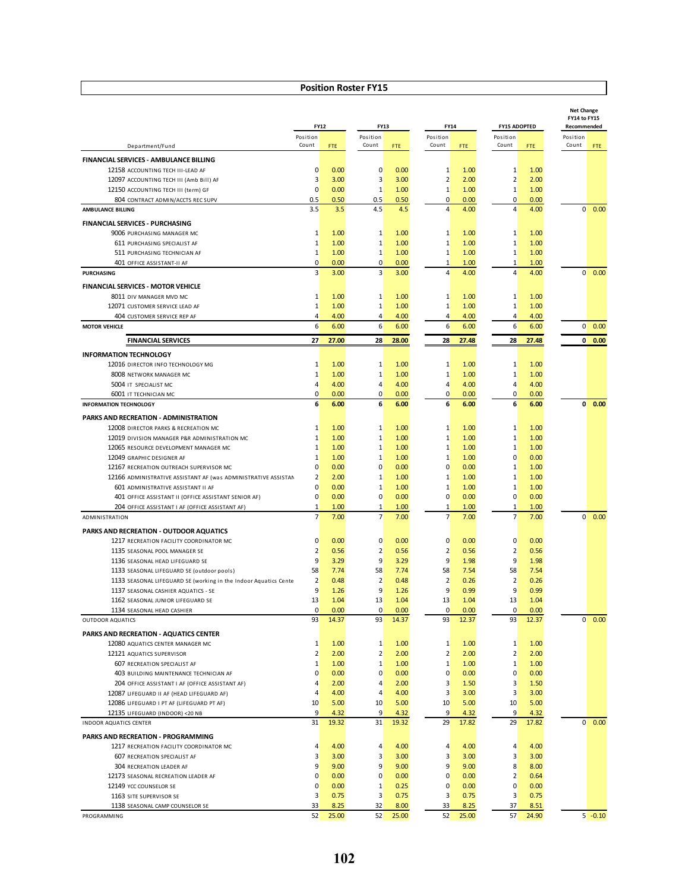|                                                                                                           |                                  |              |                              |              |                             |              |                              |                     | <b>Net Change</b><br>FY14 to FY15 |               |
|-----------------------------------------------------------------------------------------------------------|----------------------------------|--------------|------------------------------|--------------|-----------------------------|--------------|------------------------------|---------------------|-----------------------------------|---------------|
|                                                                                                           | <b>FY12</b>                      |              | FY13                         |              | FY14                        |              |                              | <b>FY15 ADOPTED</b> |                                   | Recommended   |
| Department/Fund                                                                                           | Position<br>Count                | FTE.         | Position<br>Count            | FTE          | Position<br>Count           | FTE          | Position<br>Count            | FTE                 | Position<br>Count                 | <b>FTE</b>    |
| FINANCIAL SERVICES - AMBULANCE BILLING                                                                    |                                  |              |                              |              |                             |              |                              |                     |                                   |               |
| 12158 ACCOUNTING TECH III-LEAD AF                                                                         | $\mathbf{0}$                     | 0.00         | $\mathbf 0$                  | 0.00         | 1                           | 1.00         | 1                            | 1.00                |                                   |               |
| 12097 ACCOUNTING TECH III (Amb Bill) AF                                                                   | $\overline{3}$                   | 3.00         | 3                            | 3.00         | $\overline{2}$              | 2.00         | $\overline{2}$               | 2.00                |                                   |               |
| 12150 ACCOUNTING TECH III (term) GF                                                                       | $\overline{0}$                   | 0.00         | $1\,$                        | 1.00         | $\mathbf{1}$                | 1.00         | 1                            | 1.00                |                                   |               |
| 804 CONTRACT ADMIN/ACCTS REC SUPV                                                                         | 0.5                              | 0.50         | 0.5                          | 0.50         | 0                           | 0.00         | 0                            | 0.00                |                                   |               |
| <b>AMBULANCE BILLING</b>                                                                                  | 3.5                              | 3.5          | 4.5                          | 4.5          | 4                           | 4.00         | 4                            | 4.00                | 0                                 | 0.00          |
| <b>FINANCIAL SERVICES - PURCHASING</b>                                                                    |                                  |              |                              |              |                             |              |                              |                     |                                   |               |
| 9006 PURCHASING MANAGER MC                                                                                | $\mathbf{1}$                     | 1.00         | 1                            | 1.00         | 1                           | 1.00         | 1                            | 1.00                |                                   |               |
| 611 PURCHASING SPECIALIST AF                                                                              | $\mathbf{1}$                     | 1.00         | $1\,$                        | 1.00         | 1                           | 1.00         | 1                            | 1.00                |                                   |               |
| 511 PURCHASING TECHNICIAN AF<br>401 OFFICE ASSISTANT-II AF                                                | $\mathbf{1}$<br>$\overline{0}$   | 1.00<br>0.00 | $1\,$<br>$\mathbf 0$         | 1.00<br>0.00 | $\mathbf 1$<br>$\mathbf 1$  | 1.00<br>1.00 | 1<br>1                       | 1.00<br>1.00        |                                   |               |
| <b>PURCHASING</b>                                                                                         | $\overline{3}$                   | 3.00         | 3                            | 3.00         | $\overline{4}$              | 4.00         | 4                            | 4.00                | 0                                 | 0.00          |
| <b>FINANCIAL SERVICES - MOTOR VEHICLE</b>                                                                 |                                  |              |                              |              |                             |              |                              |                     |                                   |               |
| 8011 DIV MANAGER MVD MC                                                                                   | $\mathbf{1}$                     | 1.00         | $1\,$                        | 1.00         | 1                           | 1.00         | 1                            | 1.00                |                                   |               |
| 12071 CUSTOMER SERVICE LEAD AF                                                                            | $1\overline{ }$                  | 1.00         | $1\,$                        | 1.00         | $1\overline{ }$             | 1.00         | $1\overline{ }$              | 1.00                |                                   |               |
| 404 CUSTOMER SERVICE REP AF                                                                               | $\overline{4}$                   | 4.00         | 4                            | 4.00         | $\overline{4}$              | 4.00         | $\overline{4}$               | 4.00                |                                   |               |
| <b>MOTOR VEHICLE</b>                                                                                      | 6                                | 6.00         | 6                            | 6.00         | 6                           | 6.00         | 6                            | 6.00                | $\overline{0}$                    | 0.00          |
| <b>FINANCIAL SERVICES</b>                                                                                 | 27                               | 27.00        | 28                           | 28.00        | 28                          | 27.48        | 28                           | 27.48               |                                   | $0\quad 0.00$ |
| <b>INFORMATION TECHNOLOGY</b>                                                                             |                                  |              |                              |              |                             |              |                              |                     |                                   |               |
| 12016 DIRECTOR INFO TECHNOLOGY MG                                                                         | $\mathbf{1}$                     | 1.00         | 1                            | 1.00         | $\mathbf{1}$                | 1.00         | 1                            | 1.00                |                                   |               |
| 8008 NETWORK MANAGER MC                                                                                   | $\mathbf{1}$                     | 1.00         | $1\,$                        | 1.00         | 1                           | 1.00         | 1                            | 1.00                |                                   |               |
| 5004 IT SPECIALIST MC                                                                                     | $\overline{4}$                   | 4.00         | 4                            | 4.00         | $\overline{4}$              | 4.00         | $\overline{4}$               | 4.00                |                                   |               |
| 6001 IT TECHNICIAN MC                                                                                     | $\overline{0}$                   | 0.00         | 0                            | 0.00         | $\overline{0}$              | 0.00         | $\overline{0}$               | 0.00                |                                   |               |
| <b>INFORMATION TECHNOLOGY</b>                                                                             | 6                                | 6.00         | 6                            | 6.00         | 6                           | 6.00         | 6                            | 6.00                | $\mathbf{0}$                      | 0.00          |
| PARKS AND RECREATION - ADMINISTRATION                                                                     |                                  |              |                              |              |                             |              |                              |                     |                                   |               |
| 12008 DIRECTOR PARKS & RECREATION MC                                                                      | $\mathbf{1}$                     | 1.00         | 1                            | 1.00         | 1                           | 1.00         | $\mathbf{1}$                 | 1.00                |                                   |               |
| 12019 DIVISION MANAGER P&R ADMINISTRATION MC                                                              | $\mathbf{1}$                     | 1.00         | $1\overline{ }$              | 1.00         | 1                           | 1.00         | $\mathbf{1}$                 | 1.00                |                                   |               |
| 12065 RESOURCE DEVELOPMENT MANAGER MC                                                                     | $\mathbf{1}$                     | 1.00         | 1                            | 1.00         | $\mathbf{1}$                | 1.00         | $\mathbf{1}$                 | 1.00                |                                   |               |
| 12049 GRAPHIC DESIGNER AF                                                                                 | 1                                | 1.00         | $\mathbf{1}$                 | 1.00         | $\mathbf{1}$                | 1.00         | $\mathbf{0}$                 | 0.00                |                                   |               |
| 12167 RECREATION OUTREACH SUPERVISOR MC<br>12166 ADMINISTRATIVE ASSISTANT AF (was ADMINISTRATIVE ASSISTAN | $\overline{0}$<br>$\overline{2}$ | 0.00<br>2.00 | $\mathbf 0$<br>$\mathbf{1}$  | 0.00<br>1.00 | $\mathbf 0$<br>$\mathbf{1}$ | 0.00<br>1.00 | $\mathbf{1}$<br>$\mathbf{1}$ | 1.00<br>1.00        |                                   |               |
| 601 ADMINISTRATIVE ASSISTANT II AF                                                                        | $\overline{0}$                   | 0.00         | $1\,$                        | 1.00         | 1                           | 1.00         | 1                            | 1.00                |                                   |               |
| 401 OFFICE ASSISTANT II (OFFICE ASSISTANT SENIOR AF)                                                      | $\overline{0}$                   | 0.00         | $\mathbf 0$                  | 0.00         | 0                           | 0.00         | 0                            | 0.00                |                                   |               |
| 204 OFFICE ASSISTANT I AF (OFFICE ASSISTANT AF)                                                           | 1                                | 1.00         | 1                            | 1.00         | 1                           | 1.00         | 1                            | 1.00                |                                   |               |
| ADMINISTRATION                                                                                            | 7                                | 7.00         | $\overline{7}$               | 7.00         | $\overline{7}$              | 7.00         | $\overline{7}$               | 7.00                | $\overline{0}$                    | 0.00          |
| PARKS AND RECREATION - OUTDOOR AQUATICS                                                                   |                                  |              |                              |              |                             |              |                              |                     |                                   |               |
| 1217 RECREATION FACILITY COORDINATOR MC                                                                   | $\mathbf{0}$                     | 0.00         | $\mathbf 0$                  | 0.00         | 0                           | 0.00         | $\mathbf{0}$                 | 0.00                |                                   |               |
| 1135 SEASONAL POOL MANAGER SE                                                                             | $\overline{2}$                   | 0.56         | $\overline{2}$               | 0.56         | $\overline{2}$              | 0.56         | $\overline{2}$               | 0.56                |                                   |               |
| 1136 SEASONAL HEAD LIFEGUARD SE                                                                           | 9                                | 3.29         | 9                            | 3.29         | 9                           | 1.98         | 9                            | 1.98                |                                   |               |
| 1133 SEASONAL LIFEGUARD SE (outdoor pools)                                                                | 58                               | 7.74         | 58                           | 7.74         | 58                          | 7.54         | 58                           | 7.54                |                                   |               |
| 1133 SEASONAL LIFEGUARD SE (working in the Indoor Aquatics Cente                                          | 2                                | 0.48         | $\overline{2}$               | 0.48         | $\overline{2}$              | 0.26         | $\overline{2}$               | 0.26                |                                   |               |
| 1137 SEASONAL CASHIER AQUATICS - SE                                                                       | 9<br>13                          | 1.26<br>1.04 | 9<br>13                      | 1.26<br>1.04 | 9<br>13                     | 0.99<br>1.04 | 9<br>13                      | 0.99<br>1.04        |                                   |               |
| 1162 SEASONAL JUNIOR LIFEGUARD SE<br>1134 SEASONAL HEAD CASHIER                                           | $\Omega$                         | 0.00         | $\Omega$                     | 0.00         | $\Omega$                    | 0.00         | <sub>0</sub>                 | 0.00                |                                   |               |
| OUTDOOR AQUATICS                                                                                          | 93                               | 14.37        | 93                           | 14.37        | 93                          | 12.37        | 93                           | 12.37               | $\overline{0}$                    | 0.00          |
| PARKS AND RECREATION - AQUATICS CENTER                                                                    |                                  |              |                              |              |                             |              |                              |                     |                                   |               |
| 12080 AQUATICS CENTER MANAGER MC                                                                          | $\mathbf{1}$                     | 1.00         | $\mathbf{1}$                 | 1.00         | $\mathbf{1}$                | 1.00         | $\mathbf{1}$                 | 1.00                |                                   |               |
| 12121 AQUATICS SUPERVISOR                                                                                 | 2                                | 2.00         | 2                            | 2.00         | $\overline{2}$              | 2.00         | 2                            | 2.00                |                                   |               |
| 607 RECREATION SPECIALIST AF                                                                              | $\mathbf{1}$                     | 1.00         | $\mathbf{1}$                 | 1.00         | $1\overline{ }$             | 1.00         | $\mathbf{1}$                 | 1.00                |                                   |               |
| 403 BUILDING MAINTENANCE TECHNICIAN AF                                                                    | $\overline{0}$                   | 0.00         | $\overline{0}$               | 0.00         | $\mathbf 0$                 | 0.00         | $\mathbf{0}$                 | 0.00                |                                   |               |
| 204 OFFICE ASSISTANT I AF (OFFICE ASSISTANT AF)                                                           | $\overline{4}$                   | 2.00         | 4                            | 2.00         | 3                           | 1.50         | $\overline{3}$               | 1.50                |                                   |               |
| 12087 LIFEGUARD II AF (HEAD LIFEGUARD AF)                                                                 | $\overline{4}$                   | 4.00         | 4                            | 4.00         | 3                           | 3.00         | $\overline{3}$               | 3.00                |                                   |               |
| 12086 LIFEGUARD I PT AF (LIFEGUARD PT AF)                                                                 | 10 <sup>°</sup>                  | 5.00         | 10                           | 5.00         | 10 <sup>°</sup>             | 5.00         | 10 <sup>°</sup>              | 5.00                |                                   |               |
| 12135 LIFEGUARD (INDOOR) <20 NB                                                                           | 9                                | 4.32         | 9                            | 4.32         | 9                           | 4.32         | 9                            | 4.32                |                                   |               |
| INDOOR AQUATICS CENTER                                                                                    | 31                               | 19.32        | 31                           | 19.32        | 29                          | 17.82        | 29                           | 17.82               | $\overline{0}$                    | 0.00          |
| PARKS AND RECREATION - PROGRAMMING                                                                        |                                  |              |                              |              |                             |              |                              |                     |                                   |               |
| 1217 RECREATION FACILITY COORDINATOR MC                                                                   | $\overline{4}$                   | 4.00         | $\overline{4}$               | 4.00         | $\overline{4}$              | 4.00         | $\overline{4}$               | 4.00                |                                   |               |
| 607 RECREATION SPECIALIST AF<br>304 RECREATION LEADER AF                                                  | $\overline{\mathbf{3}}$<br>9     | 3.00<br>9.00 | $\overline{\mathbf{3}}$<br>9 | 3.00<br>9.00 | 3<br>9                      | 3.00<br>9.00 | $\overline{3}$<br>8          | 3.00<br>8.00        |                                   |               |
| 12173 SEASONAL RECREATION LEADER AF                                                                       | $\overline{0}$                   | 0.00         | $\overline{0}$               | 0.00         | $\mathbf 0$                 | 0.00         | $\overline{2}$               | 0.64                |                                   |               |
| 12149 YCC COUNSELOR SE                                                                                    | $\overline{0}$                   | 0.00         | $1\,$                        | 0.25         | $\mathbf 0$                 | 0.00         | $\overline{0}$               | 0.00                |                                   |               |
| 1163 SITE SUPERVISOR SE                                                                                   | 3                                | 0.75         | $\overline{3}$               | 0.75         | $\overline{3}$              | 0.75         | $\overline{\mathbf{3}}$      | 0.75                |                                   |               |
| 1138 SEASONAL CAMP COUNSELOR SE                                                                           | 33                               | 8.25         | 32                           | 8.00         | 33                          | 8.25         | 37                           | 8.51                |                                   |               |
| PROGRAMMING                                                                                               | 52                               | 25.00        | 52                           | 25.00        | 52                          | 25.00        | 57                           | 24.90               |                                   | $5 - 0.10$    |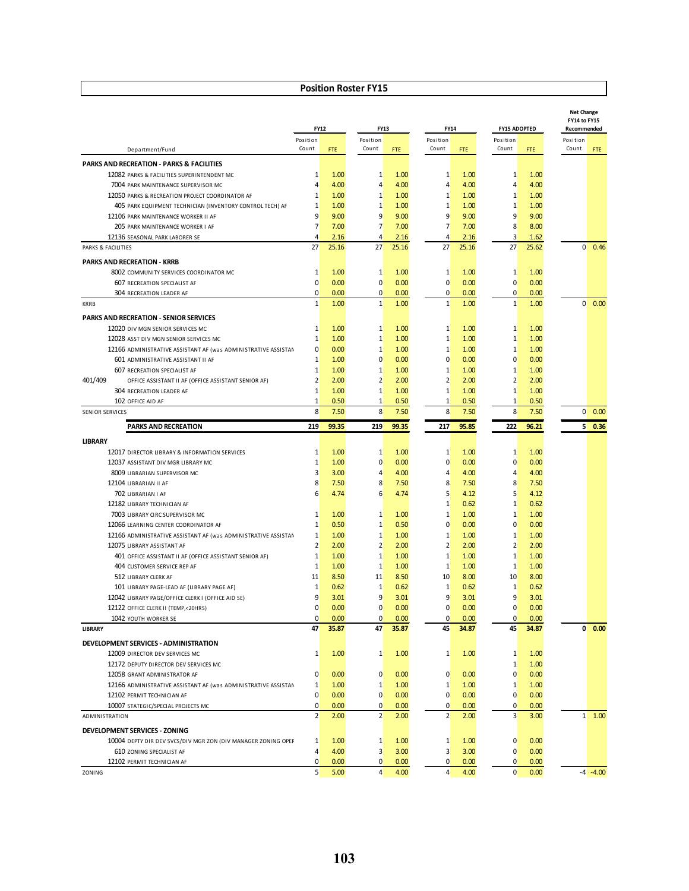|                                                                                        |                    |              |                         |              |                                |              |                                |                     | <b>Net Change</b><br>FY14 to FY15 |             |
|----------------------------------------------------------------------------------------|--------------------|--------------|-------------------------|--------------|--------------------------------|--------------|--------------------------------|---------------------|-----------------------------------|-------------|
|                                                                                        | <b>FY12</b>        |              | FY13                    |              | FY14                           |              |                                | <b>FY15 ADOPTED</b> |                                   | Recommended |
|                                                                                        | Position<br>Count  |              | Position<br>Count       |              | Position<br>Count              |              | Position<br>Count              |                     | Position<br>Count                 |             |
| Department/Fund                                                                        |                    | FTE          |                         | <b>FTE</b>   |                                | FTE          |                                | FTE                 |                                   | <b>FTE</b>  |
| <b>PARKS AND RECREATION - PARKS &amp; FACILITIES</b>                                   |                    |              |                         |              |                                |              |                                |                     |                                   |             |
| 12082 PARKS & FACILITIES SUPERINTENDENT MC                                             | 1                  | 1.00         | $\mathbf{1}$            | 1.00         | 1                              | 1.00         | $\mathbf{1}$                   | 1.00                |                                   |             |
| 7004 PARK MAINTENANCE SUPERVISOR MC<br>12050 PARKS & RECREATION PROJECT COORDINATOR AF | 4<br>1             | 4.00<br>1.00 | 4<br>$1\,$              | 4.00<br>1.00 | $\overline{4}$<br>$\mathbf{1}$ | 4.00<br>1.00 | $\overline{4}$<br>$\mathbf{1}$ | 4.00<br>1.00        |                                   |             |
| 405 PARK EQUIPMENT TECHNICIAN (INVENTORY CONTROL TECH) AF                              | 1                  | 1.00         | $1\,$                   | 1.00         | $\mathbf{1}$                   | 1.00         | $\mathbf{1}$                   | 1.00                |                                   |             |
| 12106 PARK MAINTENANCE WORKER II AF                                                    | 9                  | 9.00         | $\overline{9}$          | 9.00         | 9                              | 9.00         | 9                              | 9.00                |                                   |             |
| 205 PARK MAINTENANCE WORKER I AF                                                       | 7                  | 7.00         | $\overline{7}$          | 7.00         | 7                              | 7.00         | 8                              | 8.00                |                                   |             |
| 12136 SEASONAL PARK LABORER SE                                                         | $\overline{4}$     | 2.16         | $\overline{4}$          | 2.16         | $\overline{4}$                 | 2.16         | $\overline{3}$                 | 1.62                |                                   |             |
| PARKS & FACILITIES                                                                     | 27                 | 25.16        | 27                      | 25.16        | 27                             | 25.16        | 27                             | 25.62               | $\overline{0}$                    | 0.46        |
| <b>PARKS AND RECREATION - KRRB</b>                                                     |                    |              |                         |              |                                |              |                                |                     |                                   |             |
| 8002 COMMUNITY SERVICES COORDINATOR MC                                                 | 1                  | 1.00         | 1                       | 1.00         | 1                              | 1.00         | $\mathbf{1}$                   | 1.00                |                                   |             |
| 607 RECREATION SPECIALIST AF                                                           | 0                  | 0.00         | $\mathbf 0$             | 0.00         | $\overline{0}$                 | 0.00         | $\overline{0}$                 | 0.00                |                                   |             |
| 304 RECREATION LEADER AF                                                               | 0                  | 0.00         | $\mathbf{0}$            | 0.00         | $\overline{0}$                 | 0.00         | $\mathbf{0}$                   | 0.00                |                                   |             |
| <b>KRRB</b>                                                                            | $\mathbf{1}$       | 1.00         | 1                       | 1.00         | $\mathbf{1}$                   | 1.00         | $\mathbf{1}$                   | 1.00                | $\overline{0}$                    | 0.00        |
| PARKS AND RECREATION - SENIOR SERVICES                                                 |                    |              |                         |              |                                |              |                                |                     |                                   |             |
| 12020 DIV MGN SENIOR SERVICES MC                                                       | 1                  | 1.00         | 1                       | 1.00         | 1                              | 1.00         | $\mathbf{1}$                   | 1.00                |                                   |             |
| 12028 ASST DIV MGN SENIOR SERVICES MC                                                  | $\mathbf{1}$       | 1.00         | $\mathbf 1$             | 1.00         | $\mathbf{1}$                   | 1.00         | $\mathbf{1}$                   | 1.00                |                                   |             |
| 12166 ADMINISTRATIVE ASSISTANT AF (was ADMINISTRATIVE ASSISTAN                         | 0                  | 0.00         | $\mathbf{1}$            | 1.00         | $\mathbf{1}$                   | 1.00         | $\mathbf{1}$                   | 1.00                |                                   |             |
| 601 ADMINISTRATIVE ASSISTANT II AF                                                     | 1                  | 1.00         | 0                       | 0.00         | 0                              | 0.00         | $\overline{0}$                 | 0.00                |                                   |             |
| 607 RECREATION SPECIALIST AF                                                           | $\mathbf{1}$       | 1.00         | 1                       | 1.00         | $\mathbf{1}$                   | 1.00         | $\mathbf{1}$                   | 1.00                |                                   |             |
| 401/409<br>OFFICE ASSISTANT II AF (OFFICE ASSISTANT SENIOR AF)                         | $\overline{2}$     | 2.00         | $\overline{2}$          | 2.00         | $\overline{2}$                 | 2.00         | $\overline{2}$                 | 2.00                |                                   |             |
| 304 RECREATION LEADER AF                                                               | $1\,$              | 1.00         | $\mathbf{1}$            | 1.00         | $\mathbf{1}$                   | 1.00         | $\mathbf{1}$                   | 1.00                |                                   |             |
| 102 OFFICE AID AF                                                                      | 1                  | 0.50         | 1                       | 0.50         | $\mathbf{1}$                   | 0.50         | 1                              | 0.50                |                                   |             |
| <b>SENIOR SERVICES</b>                                                                 | 8                  | 7.50         | 8                       | 7.50         | 8                              | 7.50         | 8                              | 7.50                | $\overline{0}$                    | 0.00        |
| <b>PARKS AND RECREATION</b>                                                            | 219                | 99.35        | 219                     | 99.35        | 217                            | 95.85        | 222                            | 96.21               | 5                                 | 0.36        |
| <b>LIBRARY</b>                                                                         |                    |              |                         |              |                                |              |                                |                     |                                   |             |
| 12017 DIRECTOR LIBRARY & INFORMATION SERVICES                                          | 1                  | 1.00         | 1                       | 1.00         | 1                              | 1.00         | $\mathbf{1}$                   | 1.00                |                                   |             |
| 12037 ASSISTANT DIV MGR LIBRARY MC                                                     | 1                  | 1.00         | $\mathbf 0$             | 0.00         | $\mathbf 0$                    | 0.00         | $\overline{0}$                 | 0.00                |                                   |             |
| 8009 LIBRARIAN SUPERVISOR MC                                                           | 3                  | 3.00         | 4                       | 4.00         | 4                              | 4.00         | $\overline{4}$                 | 4.00                |                                   |             |
| 12104 LIBRARIAN II AF                                                                  | 8                  | 7.50         | 8                       | 7.50         | 8                              | 7.50         | 8                              | 7.50                |                                   |             |
| 702 LIBRARIAN I AF                                                                     | 6                  | 4.74         | 6                       | 4.74         | 5                              | 4.12         | $5\overline{)}$                | 4.12                |                                   |             |
| 12182 LIBRARY TECHNICIAN AF                                                            |                    |              |                         |              | $\mathbf 1$                    | 0.62         | $\mathbf{1}$                   | 0.62                |                                   |             |
| 7003 LIBRARY CIRC SUPERVISOR MC                                                        | 1                  | 1.00         | 1                       | 1.00         | $\mathbf{1}$                   | 1.00         | $\mathbf{1}$                   | 1.00                |                                   |             |
| 12066 LEARNING CENTER COORDINATOR AF                                                   | $\mathbf{1}$       | 0.50         | $\mathbf{1}$            | 0.50         | $\mathbf 0$                    | 0.00         | $\overline{0}$                 | 0.00                |                                   |             |
| 12166 ADMINISTRATIVE ASSISTANT AF (was ADMINISTRATIVE ASSISTAN                         | 1                  | 1.00         | $1\overline{ }$         | 1.00         | $1\,$                          | 1.00         | $\mathbf{1}$                   | 1.00                |                                   |             |
| 12075 LIBRARY ASSISTANT AF                                                             | 2                  | 2.00         | $\overline{2}$          | 2.00         | $\overline{2}$                 | 2.00         | $\overline{2}$                 | 2.00                |                                   |             |
| 401 OFFICE ASSISTANT II AF (OFFICE ASSISTANT SENIOR AF)                                | $1\,$              | 1.00         | $\mathbf{1}$            | 1.00         | $1\,$                          | 1.00         | $\mathbf{1}$                   | 1.00                |                                   |             |
| 404 CUSTOMER SERVICE REP AF<br>512 LIBRARY CLERK AF                                    | $\mathbf{1}$<br>11 | 1.00<br>8.50 | $\mathbf{1}$<br>11      | 1.00<br>8.50 | $1\,$<br>10                    | 1.00<br>8.00 | $\mathbf{1}$<br>10             | 1.00<br>8.00        |                                   |             |
| 101 LIBRARY PAGE-LEAD AF (LIBRARY PAGE AF)                                             | 1                  | 0.62         | $\mathbf{1}$            | 0.62         | $1\,$                          | 0.62         | $\mathbf{1}$                   | 0.62                |                                   |             |
| 12042 LIBRARY PAGE/OFFICE CLERK I (OFFICE AID SE)                                      | 9                  | 3.01         | 9                       | 3.01         | 9                              | 3.01         | 9                              | 3.01                |                                   |             |
| 12122 OFFICE CLERK II (TEMP,<20HRS)                                                    | 0                  | 0.00         | 0                       | 0.00         | 0                              | 0.00         | $\overline{0}$                 | 0.00                |                                   |             |
| 1042 YOUTH WORKER SE                                                                   | 0                  | 0.00         | 0                       | 0.00         | 0                              | 0.00         | $\overline{0}$                 | 0.00                |                                   |             |
| <b>LIBRARY</b>                                                                         | 47                 | 35.87        | 47                      | 35.87        | 45                             | 34.87        | 45                             | 34.87               | 0                                 | 0.00        |
| DEVELOPMENT SERVICES - ADMINISTRATION                                                  |                    |              |                         |              |                                |              |                                |                     |                                   |             |
| 12009 DIRECTOR DEV SERVICES MC                                                         | 1                  | 1.00         | $\mathbf{1}$            | 1.00         | 1                              | 1.00         | $\mathbf{1}$                   | 1.00                |                                   |             |
| 12172 DEPUTY DIRECTOR DEV SERVICES MC                                                  |                    |              |                         |              |                                |              | $\mathbf{1}$                   | 1.00                |                                   |             |
| 12058 GRANT ADMINISTRATOR AF                                                           | $\mathbf 0$        | 0.00         | $\overline{0}$          | 0.00         | $\overline{0}$                 | 0.00         | $\overline{0}$                 | 0.00                |                                   |             |
| 12166 ADMINISTRATIVE ASSISTANT AF (was ADMINISTRATIVE ASSISTAN                         | 1                  | 1.00         | $\mathbf{1}$            | 1.00         | $\mathbf{1}$                   | 1.00         | $\mathbf{1}$                   | 1.00                |                                   |             |
| 12102 PERMIT TECHNICIAN AF                                                             | $\overline{0}$     | 0.00         | $\mathbf{0}$            | 0.00         | $\overline{0}$                 | 0.00         | $\overline{0}$                 | 0.00                |                                   |             |
| 10007 STATEGIC/SPECIAL PROJECTS MC                                                     | $\overline{0}$     | 0.00         | $\mathbf{0}$            | 0.00         | $\overline{0}$                 | 0.00         | $\mathbf{0}$                   | 0.00                |                                   |             |
| ADMINISTRATION                                                                         | $\overline{2}$     | 2.00         | 2                       | 2.00         | $\overline{2}$                 | 2.00         | 3                              | 3.00                | $\mathbf{1}$                      | 1.00        |
| DEVELOPMENT SERVICES - ZONING                                                          |                    |              |                         |              |                                |              |                                |                     |                                   |             |
| 10004 DEPTY DIR DEV SVCS/DIV MGR ZON (DIV MANAGER ZONING OPEF                          | 1                  | 1.00         | 1                       | 1.00         | 1                              | 1.00         | $\overline{0}$                 | 0.00                |                                   |             |
| 610 ZONING SPECIALIST AF                                                               | 4                  | 4.00         | $\overline{\mathbf{3}}$ | 3.00         | $\overline{3}$                 | 3.00         | $\mathbf{0}$                   | 0.00                |                                   |             |
| 12102 PERMIT TECHNICIAN AF                                                             | 0                  | 0.00         | $\mathbf{0}$            | 0.00         | $\mathbf{0}$                   | 0.00         | $\mathbf{0}$                   | 0.00                |                                   |             |
| ZONING                                                                                 | 5                  | 5.00         | $\overline{4}$          | 4.00         | $\overline{4}$                 | 4.00         | $\overline{0}$                 | 0.00                |                                   | $-4 - 4.00$ |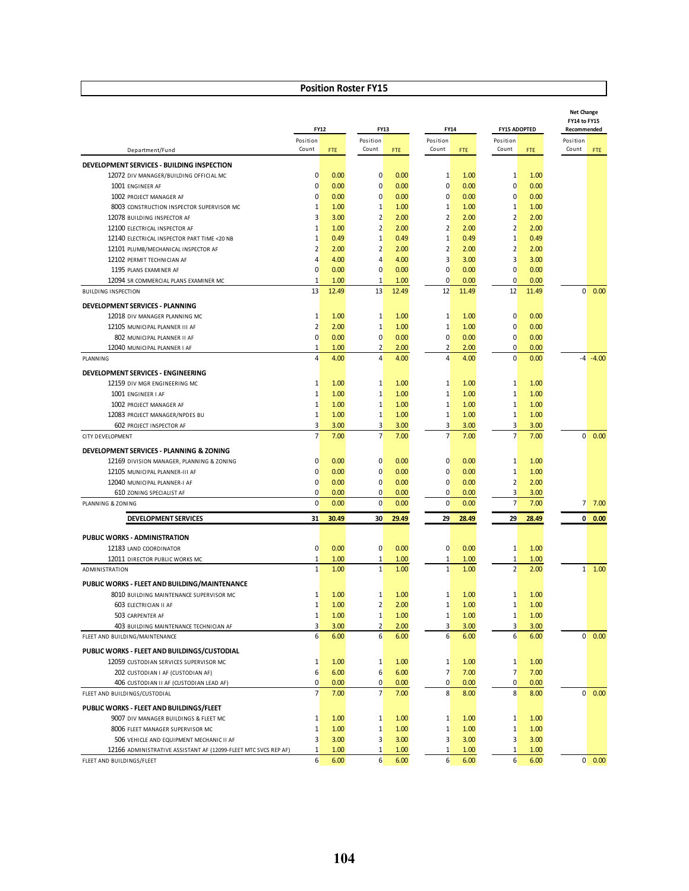|                                                                                      |                   | FY12       | FY13              |       |                         | FY14  |                   | <b>FY15 ADOPTED</b> | <b>Net Change</b><br>FY14 to FY15<br>Recommended |           |
|--------------------------------------------------------------------------------------|-------------------|------------|-------------------|-------|-------------------------|-------|-------------------|---------------------|--------------------------------------------------|-----------|
| Department/Fund                                                                      | Position<br>Count | <b>FTE</b> | Position<br>Count | FTE.  | Position<br>Count       | FTE.  | Position<br>Count | FTE                 | Position<br>Count                                | FTE       |
|                                                                                      |                   |            |                   |       |                         |       |                   |                     |                                                  |           |
| DEVELOPMENT SERVICES - BUILDING INSPECTION<br>12072 DIV MANAGER/BUILDING OFFICIAL MC | 0                 | 0.00       | 0                 | 0.00  | $\mathbf{1}$            | 1.00  | $\mathbf{1}$      | 1.00                |                                                  |           |
| 1001 ENGINEER AF                                                                     | $\overline{0}$    | 0.00       | $\mathbf{0}$      | 0.00  | $\overline{0}$          | 0.00  | $\overline{0}$    | 0.00                |                                                  |           |
| 1002 PROJECT MANAGER AF                                                              | 0                 | 0.00       | 0                 | 0.00  | $\overline{0}$          | 0.00  | $\mathbf{0}$      | 0.00                |                                                  |           |
| 8003 CONSTRUCTION INSPECTOR SUPERVISOR MC                                            | $\mathbf{1}$      | 1.00       | $\mathbf{1}$      | 1.00  | $\mathbf{1}$            | 1.00  | $\mathbf{1}$      | 1.00                |                                                  |           |
| 12078 BUILDING INSPECTOR AF                                                          | 3                 | 3.00       | $\overline{2}$    | 2.00  | $\overline{2}$          | 2.00  | $\overline{2}$    | 2.00                |                                                  |           |
| 12100 ELECTRICAL INSPECTOR AF                                                        | $\mathbf{1}$      | 1.00       | $\overline{2}$    | 2.00  | $\overline{2}$          | 2.00  | $\overline{2}$    | 2.00                |                                                  |           |
| 12140 ELECTRICAL INSPECTOR PART TIME <20 NB                                          | $\mathbf{1}$      | 0.49       | $1\,$             | 0.49  | $\mathbf{1}$            | 0.49  | $\mathbf{1}$      | 0.49                |                                                  |           |
| 12101 PLUMB/MECHANICAL INSPECTOR AF                                                  | $\overline{2}$    | 2.00       | $\overline{2}$    | 2.00  | $\overline{2}$          | 2.00  | $\overline{2}$    | 2.00                |                                                  |           |
| 12102 PERMIT TECHNICIAN AF                                                           | $\overline{4}$    | 4.00       | $\overline{4}$    | 4.00  | 3                       | 3.00  | $\overline{3}$    | 3.00                |                                                  |           |
| 1195 PLANS EXAMINER AF                                                               | 0                 | 0.00       | $\mathbf 0$       | 0.00  | $\overline{0}$          | 0.00  | $\Omega$          | 0.00                |                                                  |           |
| 12094 SR COMMERCIAL PLANS EXAMINER MC                                                | $\mathbf{1}$      | 1.00       | $\mathbf{1}$      | 1.00  | $\overline{0}$          | 0.00  | $\overline{0}$    | 0.00                |                                                  |           |
| <b>BUILDING INSPECTION</b>                                                           | 13                | 12.49      | 13                | 12.49 | 12                      | 11.49 | 12                | 11.49               | $\overline{0}$                                   | 0.00      |
| DEVELOPMENT SERVICES - PLANNING                                                      |                   |            |                   |       |                         |       |                   |                     |                                                  |           |
| 12018 DIV MANAGER PLANNING MC                                                        | 1                 | 1.00       | $\mathbf{1}$      | 1.00  | 1                       | 1.00  | $\overline{0}$    | 0.00                |                                                  |           |
| 12105 MUNICIPAL PLANNER III AF                                                       | $\overline{2}$    | 2.00       | $1\,$             | 1.00  | $\mathbf{1}$            | 1.00  | $\overline{0}$    | 0.00                |                                                  |           |
| 802 MUNICIPAL PLANNER II AF                                                          | 0                 | 0.00       | 0                 | 0.00  | $\overline{0}$          | 0.00  | $\overline{0}$    | 0.00                |                                                  |           |
| 12040 MUNICIPAL PLANNER I AF                                                         | $\mathbf{1}$      | 1.00       | $\overline{2}$    | 2.00  | $\overline{2}$          | 2.00  | $\mathbf{0}$      | 0.00                |                                                  |           |
| PLANNING                                                                             | $\overline{4}$    | 4.00       | $\overline{4}$    | 4.00  | $\overline{4}$          | 4.00  | $\Omega$          | 0.00                | $-4$                                             | $-4.00$   |
| <b>DEVELOPMENT SERVICES - ENGINEERING</b>                                            |                   |            |                   |       |                         |       |                   |                     |                                                  |           |
| 12159 DIV MGR ENGINEERING MC                                                         | $\mathbf{1}$      | 1.00       | $\mathbf{1}$      | 1.00  | $\mathbf{1}$            | 1.00  | $\mathbf{1}$      | 1.00                |                                                  |           |
| 1001 ENGINEER I AF                                                                   | $\mathbf{1}$      | 1.00       | $1\,$             | 1.00  | $\mathbf{1}$            | 1.00  | $\mathbf{1}$      | 1.00                |                                                  |           |
| 1002 PROJECT MANAGER AF                                                              | $\mathbf{1}$      | 1.00       | $\mathbf{1}$      | 1.00  | $1\overline{ }$         | 1.00  | $\mathbf{1}$      | 1.00                |                                                  |           |
| 12083 PROJECT MANAGER/NPDES BU                                                       | $\mathbf{1}$      | 1.00       | $\mathbf{1}$      | 1.00  | $\mathbf{1}$            | 1.00  | $\mathbf{1}$      | 1.00                |                                                  |           |
| 602 PROJECT INSPECTOR AF                                                             | $\overline{3}$    | 3.00       | 3                 | 3.00  | $\overline{\mathbf{3}}$ | 3.00  | 3                 | 3.00                |                                                  |           |
| <b>CITY DEVELOPMENT</b>                                                              | $\overline{7}$    | 7.00       | $\overline{7}$    | 7.00  | 7                       | 7.00  | $\overline{7}$    | 7.00                | 0                                                | 0.00      |
| DEVELOPMENT SERVICES - PLANNING & ZONING                                             |                   |            |                   |       |                         |       |                   |                     |                                                  |           |
| 12169 DIVISION MANAGER, PLANNING & ZONING                                            | 0                 | 0.00       | 0                 | 0.00  | $\overline{0}$          | 0.00  | $\mathbf{1}$      | 1.00                |                                                  |           |
| 12105 MUNICIPAL PLANNER-III AF                                                       | 0                 | 0.00       | 0                 | 0.00  | $\overline{0}$          | 0.00  | $\mathbf{1}$      | 1.00                |                                                  |           |
| 12040 MUNICIPAL PLANNER-I AF                                                         | 0                 | 0.00       | 0                 | 0.00  | $\overline{0}$          | 0.00  | $\overline{2}$    | 2.00                |                                                  |           |
| 610 ZONING SPECIALIST AF                                                             | 0                 | 0.00       | 0                 | 0.00  | $\overline{0}$          | 0.00  | 3                 | 3.00                |                                                  |           |
| PLANNING & ZONING                                                                    | $\Omega$          | 0.00       | $\mathbf 0$       | 0.00  | $\Omega$                | 0.00  | $\overline{7}$    | 7.00                | $\overline{7}$                                   | 7.00      |
| <b>DEVELOPMENT SERVICES</b>                                                          | 31                | 30.49      | 30                | 29.49 | 29                      | 28.49 | 29                | 28.49               | $\mathbf{0}$                                     | 0.00      |
| PUBLIC WORKS - ADMINISTRATION                                                        |                   |            |                   |       |                         |       |                   |                     |                                                  |           |
| 12183 LAND COORDINATOR                                                               | 0                 | 0.00       | $\overline{0}$    | 0.00  | $\overline{0}$          | 0.00  | $\mathbf{1}$      | 1.00                |                                                  |           |
| 12011 DIRECTOR PUBLIC WORKS MC                                                       | 1                 | 1.00       | 1                 | 1.00  | $\mathbf{1}$            | 1.00  | 1                 | 1.00                |                                                  |           |
| <b>ADMINISTRATION</b>                                                                | $\mathbf{1}$      | 1.00       | $\mathbf{1}$      | 1.00  | $\mathbf{1}$            | 1.00  | $\overline{2}$    | 2.00                | $1\overline{ }$                                  | 1.00      |
| PUBLIC WORKS - FLEET AND BUILDING/MAINTENANCE                                        |                   |            |                   |       |                         |       |                   |                     |                                                  |           |
| 8010 BUILDING MAINTENANCE SUPERVISOR MC                                              | 1                 | 1.00       | 1                 | 1.00  | $\mathbf{1}$            | 1.00  | 1                 | 1.00                |                                                  |           |
| 603 FLECTRICIAN II AF                                                                | $\mathbf 1$       | 1.00       | $\overline{2}$    | 2.00  | $\mathbf{1}$            | 1.00  | $\mathbf{1}$      | 1.00                |                                                  |           |
| 503 CARPENTER AF                                                                     | $\mathbf{1}$      | 1.00       | $\mathbf{1}$      | 1.00  | $\mathbf{1}$            | 1.00  | $\mathbf{1}$      | 1.00                |                                                  |           |
| 403 BUILDING MAINTENANCE TECHNICIAN AF                                               | $\overline{3}$    | 3.00       | $\overline{2}$    | 2.00  | $\overline{3}$          | 3.00  | 3                 | 3.00                |                                                  |           |
| FLEET AND BUILDING/MAINTENANCE                                                       | 6                 | 6.00       | 6                 | 6.00  | 6                       | 6.00  | 6                 | 6.00                |                                                  | $0\ 0.00$ |
| PUBLIC WORKS - FLEET AND BUILDINGS/CUSTODIAL                                         |                   |            |                   |       |                         |       |                   |                     |                                                  |           |
| 12059 CUSTODIAN SERVICES SUPERVISOR MC                                               | $\mathbf{1}$      | 1.00       | $\mathbf{1}$      | 1.00  | $1\overline{ }$         | 1.00  | $\mathbf{1}$      | 1.00                |                                                  |           |
| 202 CUSTODIAN I AF (CUSTODIAN AF)                                                    | $6 \overline{}$   | 6.00       | 6                 | 6.00  | 7                       | 7.00  | 7                 | 7.00                |                                                  |           |
| 406 CUSTODIAN II AF (CUSTODIAN LEAD AF)                                              | $\overline{0}$    | 0.00       | $\overline{0}$    | 0.00  | $\overline{0}$          | 0.00  | $\mathbf{0}$      | 0.00                |                                                  |           |
| FLEET AND BUILDINGS/CUSTODIAL                                                        | $\overline{7}$    | 7.00       | $\overline{7}$    | 7.00  | 8                       | 8.00  | 8                 | 8.00                | $\overline{0}$                                   | 0.00      |
| PUBLIC WORKS - FLEET AND BUILDINGS/FLEET                                             |                   |            |                   |       |                         |       |                   |                     |                                                  |           |
| 9007 DIV MANAGER BUILDINGS & FLEET MC                                                | $\mathbf{1}$      | 1.00       | $\mathbf{1}$      | 1.00  | $1\overline{ }$         | 1.00  | $\mathbf{1}$      | 1.00                |                                                  |           |
| 8006 FLEET MANAGER SUPERVISOR MC                                                     | $1\overline{ }$   | 1.00       | $\mathbf{1}$      | 1.00  | $1\overline{ }$         | 1.00  | $\mathbf{1}$      | 1.00                |                                                  |           |
| 506 VEHICLE AND EQUIPMENT MECHANIC II AF                                             | $\overline{3}$    | 3.00       | 3                 | 3.00  | $\overline{\mathbf{3}}$ | 3.00  | $\overline{3}$    | 3.00                |                                                  |           |
| 12166 ADMINISTRATIVE ASSISTANT AF (12099-FLEET MTC SVCS REP AF)                      | $1\overline{ }$   | 1.00       | $\mathbf{1}$      | 1.00  | $\mathbf{1}$            | 1.00  | $\mathbf{1}$      | 1.00                |                                                  |           |
| FLEET AND BUILDINGS/FLEET                                                            | $6 \overline{}$   | 6.00       | 6                 | 6.00  | 6                       | 6.00  | 6                 | 6.00                |                                                  | $0\ 0.00$ |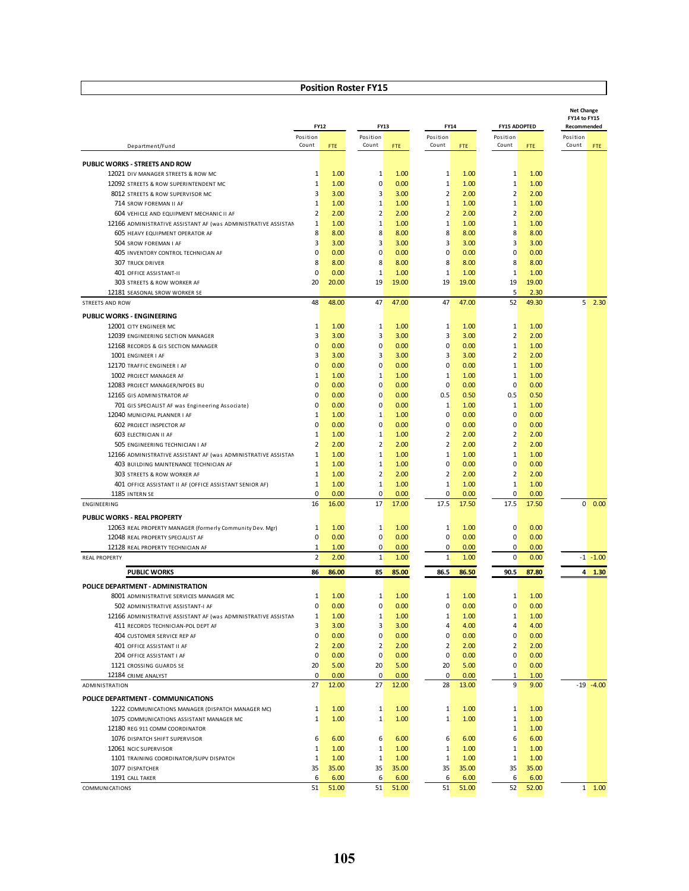|                                                                                        |                                           | <b>FY12</b>  | FY13                             |              |                               | FY14         |                                | <b>FY15 ADOPTED</b> |                | <b>Net Change</b><br>FY14 to FY15<br>Recommended |
|----------------------------------------------------------------------------------------|-------------------------------------------|--------------|----------------------------------|--------------|-------------------------------|--------------|--------------------------------|---------------------|----------------|--------------------------------------------------|
|                                                                                        | Position                                  |              | Position                         |              | Position                      |              | Position                       |                     | Position       |                                                  |
| Department/Fund                                                                        | Count                                     | FTE.         | Count                            | FTE          | Count                         | FTE          | Count                          | FTE                 | Count          | <b>FTE</b>                                       |
| PUBLIC WORKS - STREETS AND ROW                                                         |                                           |              |                                  |              |                               |              |                                |                     |                |                                                  |
| 12021 DIV MANAGER STREETS & ROW MC                                                     | 1                                         | 1.00         | 1                                | 1.00         | 1                             | 1.00         | 1                              | 1.00                |                |                                                  |
| 12092 STREETS & ROW SUPERINTENDENT MC                                                  | $1\,$                                     | 1.00         | $\mathbf 0$                      | 0.00         | $\mathbf{1}$                  | 1.00         | $\mathbf{1}$                   | 1.00                |                |                                                  |
| 8012 STREETS & ROW SUPERVISOR MC                                                       | $\overline{3}$                            | 3.00         | 3                                | 3.00         | $\overline{2}$                | 2.00         | $\overline{2}$                 | 2.00                |                |                                                  |
| 714 SROW FOREMAN II AF                                                                 | $1\overline{ }$                           | 1.00         | $1\,$                            | 1.00         | $\mathbf 1$                   | 1.00         | $\mathbf{1}$                   | 1.00                |                |                                                  |
| 604 VEHICLE AND EQUIPMENT MECHANIC II AF                                               | 2                                         | 2.00         | $\overline{2}$                   | 2.00         | $\overline{2}$                | 2.00         | $\overline{2}$                 | 2.00                |                |                                                  |
| 12166 ADMINISTRATIVE ASSISTANT AF (was ADMINISTRATIVE ASSISTAN                         | $\mathbf{1}$                              | 1.00         | 1                                | 1.00         | 1                             | 1.00         | 1                              | 1.00                |                |                                                  |
| 605 HEAVY EQUIPMENT OPERATOR AF                                                        | 8                                         | 8.00         | 8                                | 8.00         | 8                             | 8.00         | 8<br>$\overline{3}$            | 8.00                |                |                                                  |
| 504 SROW FOREMAN I AF<br>405 INVENTORY CONTROL TECHNICIAN AF                           | $\overline{3}$<br>$\overline{0}$          | 3.00<br>0.00 | 3<br>$\mathbf 0$                 | 3.00<br>0.00 | 3<br>$\mathbf 0$              | 3.00<br>0.00 | $\overline{0}$                 | 3.00<br>0.00        |                |                                                  |
| <b>307 TRUCK DRIVER</b>                                                                | 8                                         | 8.00         | 8                                | 8.00         | 8                             | 8.00         | 8                              | 8.00                |                |                                                  |
| 401 OFFICE ASSISTANT-II                                                                | $\overline{0}$                            | 0.00         | $1\,$                            | 1.00         | $\mathbf{1}$                  | 1.00         | $\mathbf{1}$                   | 1.00                |                |                                                  |
| 303 STREETS & ROW WORKER AF                                                            | 20                                        | 20.00        | 19                               | 19.00        | 19                            | 19.00        | 19                             | 19.00               |                |                                                  |
| 12181 SEASONAL SROW WORKER SE                                                          |                                           |              |                                  |              |                               |              | 5                              | 2.30                |                |                                                  |
| STREETS AND ROW                                                                        | 48                                        | 48.00        | 47                               | 47.00        | 47                            | 47.00        | 52                             | 49.30               | 5              | 2.30                                             |
| <b>PUBLIC WORKS - ENGINEERING</b>                                                      |                                           |              |                                  |              |                               |              |                                |                     |                |                                                  |
| 12001 CITY ENGINEER MC                                                                 | 1                                         | 1.00         | 1                                | 1.00         | 1                             | 1.00         | 1                              | 1.00                |                |                                                  |
| 12039 ENGINEERING SECTION MANAGER                                                      | $\overline{3}$                            | 3.00         | 3                                | 3.00         | 3                             | 3.00         | $\overline{2}$                 | 2.00                |                |                                                  |
| 12168 RECORDS & GIS SECTION MANAGER                                                    | $\overline{0}$                            | 0.00         | $\mathbf 0$                      | 0.00         | $\mathbf 0$                   | 0.00         | $\mathbf{1}$                   | 1.00                |                |                                                  |
| 1001 ENGINEER I AF                                                                     | $\overline{3}$                            | 3.00         | 3                                | 3.00         | 3                             | 3.00         | $\overline{2}$                 | 2.00                |                |                                                  |
| 12170 TRAFFIC ENGINEER I AF                                                            | $\overline{0}$                            | 0.00         | $\mathbf 0$                      | 0.00         | $\mathbf 0$                   | 0.00         | $\mathbf{1}$                   | 1.00                |                |                                                  |
| 1002 PROJECT MANAGER AF                                                                | $\mathbf{1}$                              | 1.00         | 1                                | 1.00         | 1                             | 1.00         | $\mathbf{1}$                   | 1.00                |                |                                                  |
| 12083 PROJECT MANAGER/NPDES BU                                                         | $\overline{0}$                            | 0.00         | 0                                | 0.00         | $\mathbf 0$                   | 0.00         | $\Omega$                       | 0.00                |                |                                                  |
| 12165 GIS ADMINISTRATOR AF                                                             | $\overline{0}$                            | 0.00         | 0                                | 0.00         | 0.5                           | 0.50         | 0.5                            | 0.50                |                |                                                  |
| 701 GIS SPECIALIST AF was Engineering Associate)                                       | $\overline{0}$                            | 0.00         | $\mathbf 0$                      | 0.00         | $\mathbf{1}$                  | 1.00         | $\mathbf{1}$                   | 1.00                |                |                                                  |
| 12040 MUNICIPAL PLANNER I AF                                                           | 1                                         | 1.00         | 1                                | 1.00         | $\mathbf 0$                   | 0.00         | $\overline{0}$                 | 0.00                |                |                                                  |
| <b>602 PROJECT INSPECTOR AF</b>                                                        | $\overline{0}$                            | 0.00         | $\mathbf 0$                      | 0.00         | $\mathbf 0$                   | 0.00         | $\overline{0}$                 | 0.00                |                |                                                  |
| 603 ELECTRICIAN II AF                                                                  | $\mathbf{1}$                              | 1.00         | $1\,$                            | 1.00         | $\overline{2}$                | 2.00         | $\overline{2}$                 | 2.00                |                |                                                  |
| 505 ENGINEERING TECHNICIAN I AF                                                        | 2                                         | 2.00         | 2                                | 2.00         | $\overline{2}$                | 2.00         | $\overline{2}$                 | 2.00                |                |                                                  |
| 12166 ADMINISTRATIVE ASSISTANT AF (was ADMINISTRATIVE ASSISTAN                         | $\mathbf{1}$                              | 1.00         | 1                                | 1.00         | $\mathbf{1}$                  | 1.00         | $\mathbf{1}$                   | 1.00                |                |                                                  |
| 403 BUILDING MAINTENANCE TECHNICIAN AF                                                 | $\mathbf{1}$<br>$\mathbf{1}$              | 1.00<br>1.00 | 1<br>$\overline{2}$              | 1.00<br>2.00 | $\mathbf 0$<br>$\overline{2}$ | 0.00<br>2.00 | $\mathbf{0}$<br>$\overline{2}$ | 0.00<br>2.00        |                |                                                  |
| 303 STREETS & ROW WORKER AF<br>401 OFFICE ASSISTANT II AF (OFFICE ASSISTANT SENIOR AF) | $\mathbf{1}$                              | 1.00         | $1\,$                            | 1.00         | $\mathbf{1}$                  | 1.00         | $\mathbf{1}$                   | 1.00                |                |                                                  |
| 1185 INTERN SE                                                                         | $\overline{0}$                            | 0.00         | 0                                | 0.00         | $\mathbf 0$                   | 0.00         | $\mathbf{0}$                   | 0.00                |                |                                                  |
| ENGINEERING                                                                            | 16                                        | 16.00        | 17                               | 17.00        | 17.5                          | 17.50        | 17.5                           | 17.50               | $\overline{0}$ | 0.00                                             |
| PUBLIC WORKS - REAL PROPERTY                                                           |                                           |              |                                  |              |                               |              |                                |                     |                |                                                  |
| 12063 REAL PROPERTY MANAGER (formerly Community Dev. Mgr)                              | $\mathbf{1}$                              | 1.00         | 1                                | 1.00         | 1                             | 1.00         | $\mathbf{0}$                   | 0.00                |                |                                                  |
| 12048 REAL PROPERTY SPECIALIST AF                                                      | $\overline{0}$                            | 0.00         | $\mathbf 0$                      | 0.00         | 0                             | 0.00         | $\mathbf{0}$                   | 0.00                |                |                                                  |
| 12128 REAL PROPERTY TECHNICIAN AF                                                      | 1                                         | 1.00         | 0                                | 0.00         | $\mathbf 0$                   | 0.00         | $\mathbf{0}$                   | 0.00                |                |                                                  |
| <b>REAL PROPERTY</b>                                                                   | $\overline{2}$                            | 2.00         | $\mathbf 1$                      | 1.00         | $1\overline{ }$               | 1.00         | $\mathbf{0}$                   | 0.00                |                | $-1 - 1.00$                                      |
|                                                                                        |                                           |              |                                  |              |                               |              |                                |                     |                |                                                  |
| <b>PUBLIC WORKS</b>                                                                    | 86                                        | 86.00        | 85                               | 85.00        | 86.5                          | 86.50        | 90.5                           | 87.80               | 4              | 1.30                                             |
| POLICE DEPARTMENT - ADMINISTRATION                                                     |                                           |              |                                  |              |                               |              |                                |                     |                |                                                  |
| 8001 ADMINISTRATIVE SERVICES MANAGER MC                                                | 1                                         | 1.00         | 1                                | 1.00         | 1                             | 1.00         | 1                              | 1.00                |                |                                                  |
| 502 ADMINISTRATIVE ASSISTANT-I AF                                                      | $\overline{0}$                            | 0.00         | $\mathbf 0$                      | 0.00         | $\mathbf 0$                   | 0.00         | $\mathbf{0}$                   | 0.00                |                |                                                  |
| 12166 ADMINISTRATIVE ASSISTANT AF (was ADMINISTRATIVE ASSISTAN                         | $\mathbf{1}$                              | 1.00         | 1                                | 1.00         | 1                             | 1.00         | $\mathbf{1}$                   | 1.00                |                |                                                  |
| 411 RECORDS TECHNICIAN-POL DEPT AF                                                     | $\overline{\mathbf{3}}$<br>$\overline{0}$ | 3.00<br>0.00 | $\overline{3}$<br>$\overline{0}$ | 3.00<br>0.00 | 4<br>$\overline{0}$           | 4.00<br>0.00 | $\overline{4}$<br>$\mathbf{0}$ | 4.00<br>0.00        |                |                                                  |
| 404 CUSTOMER SERVICE REP AF<br>401 OFFICE ASSISTANT II AF                              | 2                                         | 2.00         | $\overline{2}$                   | 2.00         | $\overline{2}$                | 2.00         | 2                              | 2.00                |                |                                                  |
| 204 OFFICE ASSISTANT I AF                                                              | $\overline{0}$                            | 0.00         | $\overline{0}$                   | 0.00         | $\mathbf{0}$                  | 0.00         | $\mathbf{0}$                   | 0.00                |                |                                                  |
| 1121 CROSSING GUARDS SE                                                                | 20                                        | 5.00         | 20 <sub>2</sub>                  | 5.00         | 20 <sub>2</sub>               | 5.00         | $\mathbf{0}$                   | 0.00                |                |                                                  |
| 12184 CRIME ANALYST                                                                    | $\overline{0}$                            | 0.00         | $\overline{0}$                   | 0.00         | $\mathbf{0}$                  | 0.00         | 1                              | 1.00                |                |                                                  |
| ADMINISTRATION                                                                         | 27                                        | 12.00        | 27                               | 12.00        | 28                            | 13.00        | 9                              | 9.00                |                | $-19 - 4.00$                                     |
| POLICE DEPARTMENT - COMMUNICATIONS                                                     |                                           |              |                                  |              |                               |              |                                |                     |                |                                                  |
| 1222 COMMUNICATIONS MANAGER (DISPATCH MANAGER MC)                                      | $\mathbf{1}$                              | 1.00         | $\mathbf{1}$                     | 1.00         | $\mathbf{1}$                  | 1.00         | $\mathbf{1}$                   | 1.00                |                |                                                  |
| 1075 COMMUNICATIONS ASSISTANT MANAGER MC                                               | $\mathbf{1}$                              | 1.00         | $\mathbf{1}$                     | 1.00         | $1\overline{ }$               | 1.00         | $\mathbf{1}$                   | 1.00                |                |                                                  |
| 12180 REG 911 COMM COORDINATOR                                                         |                                           |              |                                  |              |                               |              | $\mathbf{1}$                   | 1.00                |                |                                                  |
| 1076 DISPATCH SHIFT SUPERVISOR                                                         | 6                                         | 6.00         | 6                                | 6.00         | 6                             | 6.00         | 6                              | 6.00                |                |                                                  |
| 12061 NCIC SUPERVISOR                                                                  | $\mathbf{1}$                              | 1.00         | $\mathbf{1}$                     | 1.00         | $1\overline{ }$               | 1.00         | $1\overline{ }$                | 1.00                |                |                                                  |
| 1101 TRAINING COORDINATOR/SUPV DISPATCH                                                | $\mathbf{1}$                              | 1.00         | $\mathbf{1}$                     | 1.00         | $\mathbf{1}$                  | 1.00         | $\mathbf{1}$                   | 1.00                |                |                                                  |
| 1077 DISPATCHER                                                                        | 35                                        | 35.00        | 35                               | 35.00        | 35                            | 35.00        | 35                             | 35.00               |                |                                                  |
| 1191 CALL TAKER                                                                        | 6                                         | 6.00         | 6                                | 6.00         | 6                             | 6.00         | 6                              | 6.00                |                |                                                  |
| COMMUNICATIONS                                                                         | 51                                        | 51.00        | 51                               | 51.00        | 51                            | 51.00        | 52                             | 52.00               |                | $1 \quad 1.00$                                   |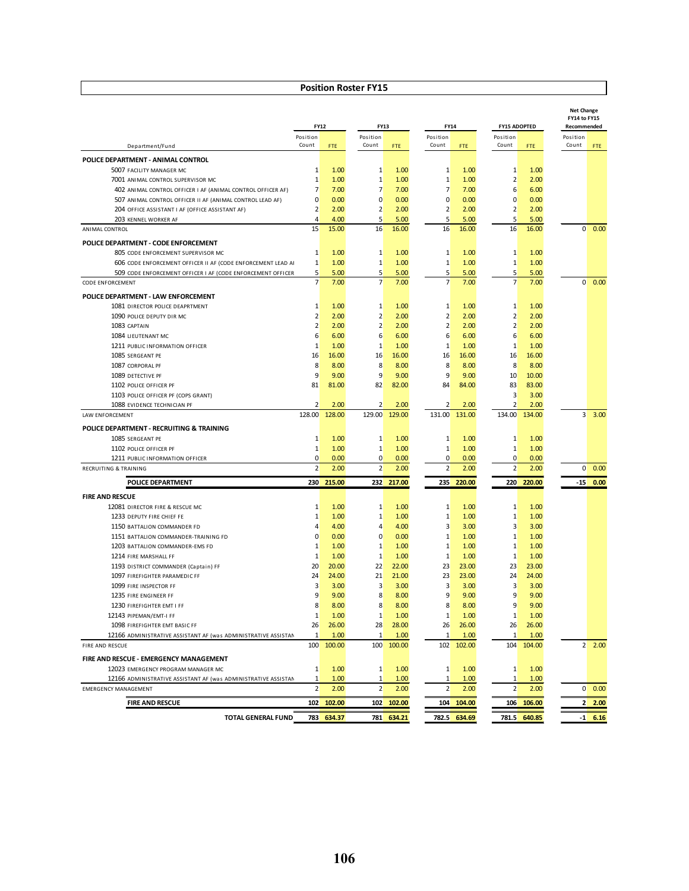|                                                                                                 |                   |               |                   |               |                   |               |                         |               | <b>Net Change</b><br>FY14 to FY15 |                |
|-------------------------------------------------------------------------------------------------|-------------------|---------------|-------------------|---------------|-------------------|---------------|-------------------------|---------------|-----------------------------------|----------------|
|                                                                                                 |                   | <b>FY12</b>   | <b>FY13</b>       |               | <b>FY14</b>       |               | <b>FY15 ADOPTED</b>     |               | Recommended                       |                |
| Department/Fund                                                                                 | Position<br>Count | <b>FTE</b>    | Position<br>Count | <b>FTE</b>    | Position<br>Count | FTE           | Position<br>Count       | FTE.          | Position<br>Count                 | <b>FTE</b>     |
| POLICE DEPARTMENT - ANIMAL CONTROL                                                              |                   |               |                   |               |                   |               |                         |               |                                   |                |
| 5007 FACILITY MANAGER MC                                                                        | 1                 | 1.00          | 1                 | 1.00          | 1                 | 1.00          | $\mathbf{1}$            | 1.00          |                                   |                |
| 7001 ANIMAL CONTROL SUPERVISOR MC                                                               | $\mathbf{1}$      | 1.00          | $\mathbf 1$       | 1.00          | 1                 | 1.00          | 2                       | 2.00          |                                   |                |
| 402 ANIMAL CONTROL OFFICER I AF (ANIMAL CONTROL OFFICER AF)                                     | 7                 | 7.00          | 7                 | 7.00          | 7                 | 7.00          | 6                       | 6.00          |                                   |                |
| 507 ANIMAL CONTROL OFFICER II AF (ANIMAL CONTROL LEAD AF)                                       | 0                 | 0.00          | $\mathbf 0$       | 0.00          | $\overline{0}$    | 0.00          | $\Omega$                | 0.00          |                                   |                |
| 204 OFFICE ASSISTANT I AF (OFFICE ASSISTANT AF)                                                 | $\overline{2}$    | 2.00          | 2                 | 2.00          | $\overline{2}$    | 2.00          | $\overline{2}$          | 2.00          |                                   |                |
| 203 KENNEL WORKER AF                                                                            | 4                 | 4.00          | 5                 | 5.00          | 5                 | 5.00          | $5\overline{}$          | 5.00          |                                   |                |
| ANIMAL CONTROL                                                                                  | 15                | 15.00         | 16                | 16.00         | 16                | 16.00         | 16                      | 16.00         | $\overline{0}$                    | 0.00           |
| POLICE DEPARTMENT - CODE ENFORCEMENT                                                            |                   |               |                   |               |                   |               |                         |               |                                   |                |
| 805 CODE ENFORCEMENT SUPERVISOR MC                                                              | 1                 | 1.00          | 1                 | 1.00          | 1                 | 1.00          | 1                       | 1.00          |                                   |                |
| 606 CODE ENFORCEMENT OFFICER II AF (CODE ENFORCEMENT LEAD AF                                    | $\mathbf{1}$      | 1.00          | $\mathbf 1$       | 1.00          | 1                 | 1.00          | $\mathbf{1}$            | 1.00          |                                   |                |
| 509 CODE ENFORCEMENT OFFICER I AF (CODE ENFORCEMENT OFFICER                                     | 5                 | 5.00          | 5                 | 5.00          | $5\overline{)}$   | 5.00          | 5                       | 5.00          |                                   |                |
| <b>CODE ENFORCEMENT</b>                                                                         | $\overline{7}$    | 7.00          | $\overline{7}$    | 7.00          | $\overline{7}$    | 7.00          | 7                       | 7.00          | $\overline{0}$                    | 0.00           |
| POLICE DEPARTMENT - LAW ENFORCEMENT                                                             |                   |               |                   |               |                   |               |                         |               |                                   |                |
| 1081 DIRECTOR POLICE DEAPRTMENT                                                                 | 1                 | 1.00          | 1                 | 1.00          | 1                 | 1.00          | $\mathbf{1}$            | 1.00          |                                   |                |
| 1090 POLICE DEPUTY DIR MC                                                                       | $\overline{2}$    | 2.00          | 2                 | 2.00          | $\overline{2}$    | 2.00          | 2                       | 2.00          |                                   |                |
| 1083 CAPTAIN                                                                                    | $\overline{2}$    | 2.00          | $\overline{2}$    | 2.00          | $\overline{2}$    | 2.00          | $\overline{2}$          | 2.00          |                                   |                |
| 1084 LIEUTENANT MC                                                                              | 6                 | 6.00          | 6                 | 6.00          | 6                 | 6.00          | 6                       | 6.00          |                                   |                |
| 1211 PUBLIC INFORMATION OFFICER                                                                 | $\mathbf{1}$      | 1.00          | $\mathbf{1}$      | 1.00          | 1                 | 1.00          | $\mathbf{1}$            | 1.00          |                                   |                |
| 1085 SERGEANT PE                                                                                | 16                | 16.00         | 16                | 16.00         | 16                | 16.00         | 16                      | 16.00         |                                   |                |
| 1087 CORPORAL PF                                                                                | 8                 | 8.00          | 8                 | 8.00          | 8                 | 8.00          | 8                       | 8.00          |                                   |                |
| 1089 DETECTIVE PF                                                                               | 9                 | 9.00          | 9                 | 9.00          | 9                 | 9.00          | 10 <sup>°</sup>         | 10.00         |                                   |                |
| 1102 POLICE OFFICER PF                                                                          | 81                | 81.00         | 82                | 82.00         | 84                | 84.00         | 83                      | 83.00         |                                   |                |
| 1103 POLICE OFFICER PF (COPS GRANT)                                                             |                   |               |                   |               |                   |               | $\overline{\mathbf{3}}$ | 3.00          |                                   |                |
| 1088 EVIDENCE TECHNICIAN PF                                                                     | $\overline{2}$    | 2.00          | $\overline{2}$    | 2.00          | 2                 | 2.00          | $\overline{2}$          | 2.00          |                                   |                |
| LAW ENFORCEMENT                                                                                 | 128.00            | 128.00        | 129.00            | 129.00        | 131.00            | 131.00        | 134.00                  | 134.00        | $\overline{3}$                    | 3.00           |
| POLICE DEPARTMENT - RECRUITING & TRAINING                                                       |                   |               |                   |               |                   |               |                         |               |                                   |                |
| 1085 SERGEANT PE                                                                                | 1                 | 1.00          | 1                 | 1.00          | 1                 | 1.00          | $\mathbf{1}$            | 1.00          |                                   |                |
| 1102 POLICE OFFICER PF                                                                          | $\mathbf{1}$      | 1.00          | $\mathbf 1$       | 1.00          | $1\overline{ }$   | 1.00          | $\mathbf{1}$            | 1.00          |                                   |                |
| 1211 PUBLIC INFORMATION OFFICER                                                                 | 0                 | 0.00          | 0                 | 0.00          | $\overline{0}$    | 0.00          | $\overline{0}$          | 0.00          |                                   |                |
| <b>RECRUITING &amp; TRAINING</b>                                                                | $\overline{2}$    | 2.00          | $\overline{2}$    | 2.00          | $\overline{2}$    | 2.00          | $\overline{2}$          | 2.00          | $\mathbf{0}$                      | 0.00           |
| <b>POLICE DEPARTMENT</b>                                                                        | 230               | 215.00        |                   | 232 217.00    |                   | 235 220.00    | 220                     | 220.00        | $-15$                             | 0.00           |
| <b>FIRE AND RESCUE</b>                                                                          |                   |               |                   |               |                   |               |                         |               |                                   |                |
| 12081 DIRECTOR FIRE & RESCUE MC                                                                 | 1                 | 1.00          | 1                 | 1.00          | 1                 | 1.00          | $\mathbf{1}$            | 1.00          |                                   |                |
| 1233 DEPUTY FIRE CHIEF FE                                                                       | 1                 | 1.00          | 1                 | 1.00          | $1\overline{ }$   | 1.00          | $\mathbf{1}$            | 1.00          |                                   |                |
| 1150 BATTALION COMMANDER FD                                                                     | 4                 | 4.00          | 4                 | 4.00          | 3                 | 3.00          | $\overline{3}$          | 3.00          |                                   |                |
| 1151 BATTALION COMMANDER-TRAINING FD                                                            | 0                 | 0.00          | 0                 | 0.00          | $1\overline{ }$   | 1.00          | $\mathbf{1}$            | 1.00          |                                   |                |
| 1203 BATTALION COMMANDER-EMS FD                                                                 | $\mathbf{1}$      | 1.00          | $\mathbf{1}$      | 1.00          | 1                 | 1.00          | $\mathbf{1}$            | 1.00          |                                   |                |
| 1214 FIRE MARSHALL FF                                                                           | $\mathbf 1$       | 1.00          | $1\,$             | 1.00          | $1\overline{ }$   | 1.00          | $\mathbf{1}$            | 1.00          |                                   |                |
| 1193 DISTRICT COMMANDER (Captain) FF                                                            | 20                | 20.00         | 22                | 22.00         | 23                | 23.00         | 23                      | 23.00         |                                   |                |
| 1097 FIREFIGHTER PARAMEDIC FF                                                                   | 24                | 24.00         | 21                | 21.00         | 23                | 23.00         | 24                      | 24.00         |                                   |                |
| 1099 FIRE INSPECTOR FF                                                                          | 3                 | 3.00          | 3                 | 3.00          | 3                 | 3.00          | $\overline{\mathbf{3}}$ | 3.00          |                                   |                |
| 1235 FIRE ENGINEER FF                                                                           | 9                 | 9.00          | 8                 | 8.00          | 9                 | 9.00          | 9                       | 9.00          |                                   |                |
| 1230 FIREFIGHTER EMT I FF                                                                       | 8                 | 8.00          | 8                 | 8.00          | 8                 | 8.00          | $\overline{9}$          | 9.00          |                                   |                |
| 12143 PIPEMAN/EMT-I FF                                                                          | 1                 | 1.00          | $\mathbf{1}$      | 1.00          | $\mathbf{1}$      | 1.00          | $\mathbf{1}$            | 1.00          |                                   |                |
| 1098 FIREFIGHTER EMT BASIC FF<br>12166 ADMINISTRATIVE ASSISTANT AF (was ADMINISTRATIVE ASSISTAN | 26<br>1           | 26.00<br>1.00 | 28<br>1           | 28.00<br>1.00 | 26<br>1           | 26.00<br>1.00 | 26<br>$\mathbf{1}$      | 26.00<br>1.00 |                                   |                |
| FIRE AND RESCUE                                                                                 | 100               | 100.00        | 100               | 100.00        |                   | 102 102.00    |                         | 104 104.00    |                                   | $2 \quad 2.00$ |
| FIRE AND RESCUE - EMERGENCY MANAGEMENT                                                          |                   |               |                   |               |                   |               |                         |               |                                   |                |
| 12023 EMERGENCY PROGRAM MANAGER MC                                                              | 1                 | 1.00          | $\mathbf{1}$      | 1.00          | $\mathbf{1}$      | 1.00          | $\mathbf{1}$            | 1.00          |                                   |                |
| 12166 ADMINISTRATIVE ASSISTANT AF (was ADMINISTRATIVE ASSISTAN                                  | 1                 | 1.00          | 1                 | 1.00          | $\mathbf{1}$      | 1.00          | 1                       | 1.00          |                                   |                |
| <b>EMERGENCY MANAGEMENT</b>                                                                     | $\overline{2}$    | 2.00          | $\overline{2}$    | 2.00          | $\overline{2}$    | 2.00          |                         | 2.00          |                                   | $0\ 0.00$      |
| <b>FIRE AND RESCUE</b>                                                                          |                   |               |                   | 102.00        |                   |               |                         | 106 106.00    |                                   |                |
|                                                                                                 | 102               | 102.00        | 102               |               |                   | 104 104.00    |                         |               |                                   | 2,00           |
| <b>TOTAL GENERAL FUND</b>                                                                       |                   | 783 634.37    |                   | 781 634.21    |                   | 782.5 634.69  |                         | 781.5 640.85  |                                   | $-1$ 6.16      |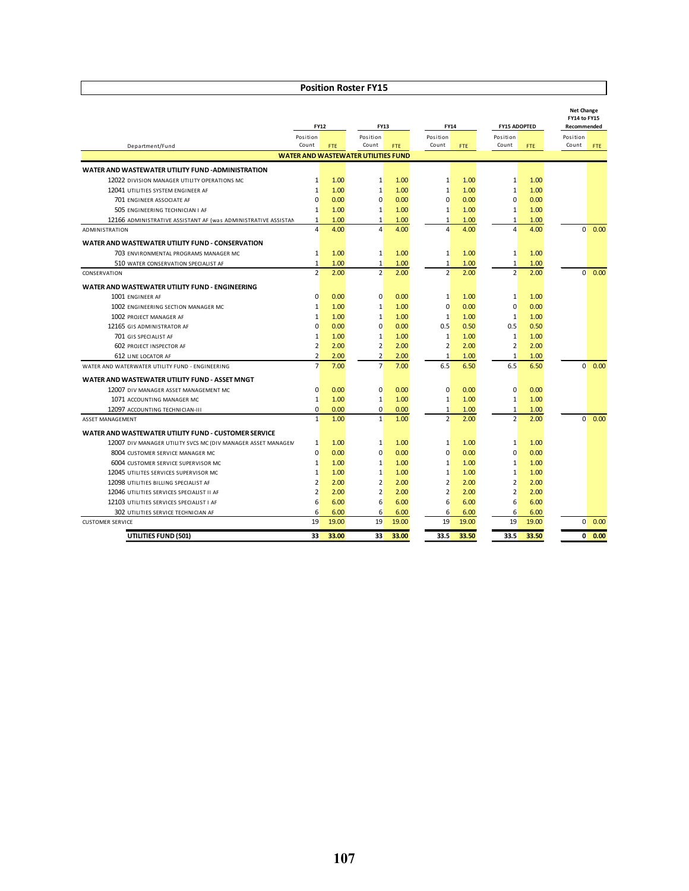|                                                                | <b>FY12</b>     |            | <b>FY13</b>                                |            |                | <b>FY14</b> |                 | <b>FY15 ADOPTED</b> | <b>Net Change</b><br>FY14 to FY15<br>Recommended |      |
|----------------------------------------------------------------|-----------------|------------|--------------------------------------------|------------|----------------|-------------|-----------------|---------------------|--------------------------------------------------|------|
|                                                                | Position        |            | Position                                   |            | Position       |             | Position        |                     | Position                                         |      |
| Department/Fund                                                | Count           | <b>FTE</b> | Count                                      | <b>FTE</b> | Count          | FTE.        | Count           | <b>FTE</b>          | Count                                            | FTE. |
|                                                                |                 |            | <b>WATER AND WASTEWATER UTILITIES FUND</b> |            |                |             |                 |                     |                                                  |      |
| WATER AND WASTEWATER UTILITY FUND -ADMINISTRATION              |                 |            |                                            |            |                |             |                 |                     |                                                  |      |
| 12022 DIVISION MANAGER UTILITY OPERATIONS MC                   | $1\overline{ }$ | 1.00       | 1                                          | 1.00       | $\mathbf{1}$   | 1.00        | $\mathbf{1}$    | 1.00                |                                                  |      |
| 12041 UTILITIES SYSTEM ENGINEER AF                             | $\mathbf{1}$    | 1.00       | $\mathbf{1}$                               | 1.00       | $\mathbf{1}$   | 1.00        | $\mathbf{1}$    | 1.00                |                                                  |      |
| 701 ENGINEER ASSOCIATE AF                                      | $\Omega$        | 0.00       | $\mathbf 0$                                | 0.00       | $\overline{0}$ | 0.00        | $\Omega$        | 0.00                |                                                  |      |
| 505 ENGINEERING TECHNICIAN I AF                                | 1               | 1.00       | $\mathbf{1}$                               | 1.00       | $\mathbf{1}$   | 1.00        | 1               | 1.00                |                                                  |      |
| 12166 ADMINISTRATIVE ASSISTANT AF (was ADMINISTRATIVE ASSISTAN | $\mathbf{1}$    | 1.00       | $\mathbf{1}$                               | 1.00       | $\mathbf{1}$   | 1.00        | $\mathbf{1}$    | 1.00                |                                                  |      |
| <b>ADMINISTRATION</b>                                          | $\overline{a}$  | 4.00       | $\overline{a}$                             | 4.00       | $\Delta$       | 4.00        | $\Delta$        | 4.00                | $\Omega$                                         | 0.00 |
| WATER AND WASTEWATER UTILITY FUND - CONSERVATION               |                 |            |                                            |            |                |             |                 |                     |                                                  |      |
| 703 ENVIRONMENTAL PROGRAMS MANAGER MC                          | $\mathbf{1}$    | 1.00       | $\mathbf{1}$                               | 1.00       | $\mathbf{1}$   | 1.00        | $\mathbf{1}$    | 1.00                |                                                  |      |
| 510 WATER CONSERVATION SPECIALIST AF                           | 1               | 1.00       | 1                                          | 1.00       | $\mathbf{1}$   | 1.00        | $\mathbf{1}$    | 1.00                |                                                  |      |
| CONSERVATION                                                   | 2               | 2.00       | $\overline{2}$                             | 2.00       | $\overline{2}$ | 2.00        | 2               | 2.00                | $\Omega$                                         | 0.00 |
| WATER AND WASTEWATER UTILITY FUND - ENGINEERING                |                 |            |                                            |            |                |             |                 |                     |                                                  |      |
| 1001 ENGINEER AF                                               | $\Omega$        | 0.00       | 0                                          | 0.00       | 1              | 1.00        | $\mathbf{1}$    | 1.00                |                                                  |      |
| 1002 ENGINEERING SECTION MANAGER MC                            | $\mathbf{1}$    | 1.00       | 1                                          | 1.00       | $\Omega$       | 0.00        | $\Omega$        | 0.00                |                                                  |      |
| 1002 PROJECT MANAGER AF                                        | $1\overline{ }$ | 1.00       | $\mathbf{1}$                               | 1.00       | $\mathbf{1}$   | 1.00        | $\mathbf{1}$    | 1.00                |                                                  |      |
| 12165 GIS ADMINISTRATOR AF                                     | $\Omega$        | 0.00       | $\mathbf 0$                                | 0.00       | 0.5            | 0.50        | 0.5             | 0.50                |                                                  |      |
| 701 GIS SPECIALIST AF                                          | $\mathbf{1}$    | 1.00       | $\mathbf{1}$                               | 1.00       | $\mathbf{1}$   | 1.00        | $\mathbf{1}$    | 1.00                |                                                  |      |
| <b>602 PROJECT INSPECTOR AF</b>                                | 2               | 2.00       | $\overline{2}$                             | 2.00       | $\overline{2}$ | 2.00        | $\overline{2}$  | 2.00                |                                                  |      |
| 612 LINE LOCATOR AF                                            | $\overline{2}$  | 2.00       | $\overline{2}$                             | 2.00       | $\mathbf{1}$   | 1.00        | $\mathbf{1}$    | 1.00                |                                                  |      |
| WATER AND WATERWATER UTILITY FUND - ENGINEERING                | $\overline{7}$  | 7.00       | $\overline{7}$                             | 7.00       | 6.5            | 6.50        | 6.5             | 6.50                | $\overline{0}$                                   | 0.00 |
| WATER AND WASTEWATER UTILITY FUND - ASSET MNGT                 |                 |            |                                            |            |                |             |                 |                     |                                                  |      |
| 12007 DIV MANAGER ASSET MANAGEMENT MC                          | 0               | 0.00       | $\mathbf 0$                                | 0.00       | $\overline{0}$ | 0.00        | $\mathbf{0}$    | 0.00                |                                                  |      |
| 1071 ACCOUNTING MANAGER MC                                     | 1               | 1.00       | $\mathbf{1}$                               | 1.00       | $\mathbf{1}$   | 1.00        | $\mathbf{1}$    | 1.00                |                                                  |      |
| 12097 ACCOUNTING TECHNICIAN-III                                | $\overline{0}$  | 0.00       | $\overline{0}$                             | 0.00       | $\mathbf{1}$   | 1.00        | $1\overline{ }$ | 1.00                |                                                  |      |
| <b>ASSET MANAGEMENT</b>                                        | $\mathbf{1}$    | 1.00       | $\mathbf{1}$                               | 1.00       | $\overline{2}$ | 2.00        | $\overline{2}$  | 2.00                | $\Omega$                                         | 0.00 |
| WATER AND WASTEWATER UTILITY FUND - CUSTOMER SERVICE           |                 |            |                                            |            |                |             |                 |                     |                                                  |      |
| 12007 DIV MANAGER UTILITY SVCS MC (DIV MANAGER ASSET MANAGEM   | $\mathbf{1}$    | 1.00       | 1                                          | 1.00       | $\mathbf{1}$   | 1.00        | $\mathbf{1}$    | 1.00                |                                                  |      |
| 8004 CUSTOMER SERVICE MANAGER MC                               | $\Omega$        | 0.00       | $\Omega$                                   | 0.00       | $\overline{0}$ | 0.00        | $\Omega$        | 0.00                |                                                  |      |
| 6004 CUSTOMER SERVICE SUPERVISOR MC                            | $\mathbf{1}$    | 1.00       | $\mathbf{1}$                               | 1.00       | $\mathbf{1}$   | 1.00        | 1               | 1.00                |                                                  |      |
| 12045 UTILITES SERVICES SUPERVISOR MC                          | $1\overline{ }$ | 1.00       | $\mathbf{1}$                               | 1.00       | $\mathbf{1}$   | 1.00        | 1               | 1.00                |                                                  |      |
| 12098 UTILITIES BILLING SPECIALIST AF                          | 2               | 2.00       | $\overline{2}$                             | 2.00       | $\overline{2}$ | 2.00        | $\overline{2}$  | 2.00                |                                                  |      |
| 12046 UTILITIES SERVICES SPECIALIST II AF                      | 2               | 2.00       | $\overline{2}$                             | 2.00       | $\overline{2}$ | 2.00        | $\overline{2}$  | 2.00                |                                                  |      |
| 12103 UTILITIES SERVICES SPECIALIST I AF                       | 6               | 6.00       | 6                                          | 6.00       | 6              | 6.00        | 6               | 6.00                |                                                  |      |
| 302 UTILITIES SERVICE TECHNICIAN AF                            | 6               | 6.00       | 6                                          | 6.00       | 6              | 6.00        | 6               | 6.00                |                                                  |      |
| <b>CUSTOMER SERVICE</b>                                        | 19              | 19.00      | 19                                         | 19.00      | 19             | 19.00       | 19              | 19.00               | $\overline{0}$                                   | 0.00 |
| UTILITIES FUND (501)                                           | 33              | 33.00      | 33                                         | 33.00      | 33.5           | 33.50       | 33.5            | 33.50               | $\mathbf{0}$                                     | 0.00 |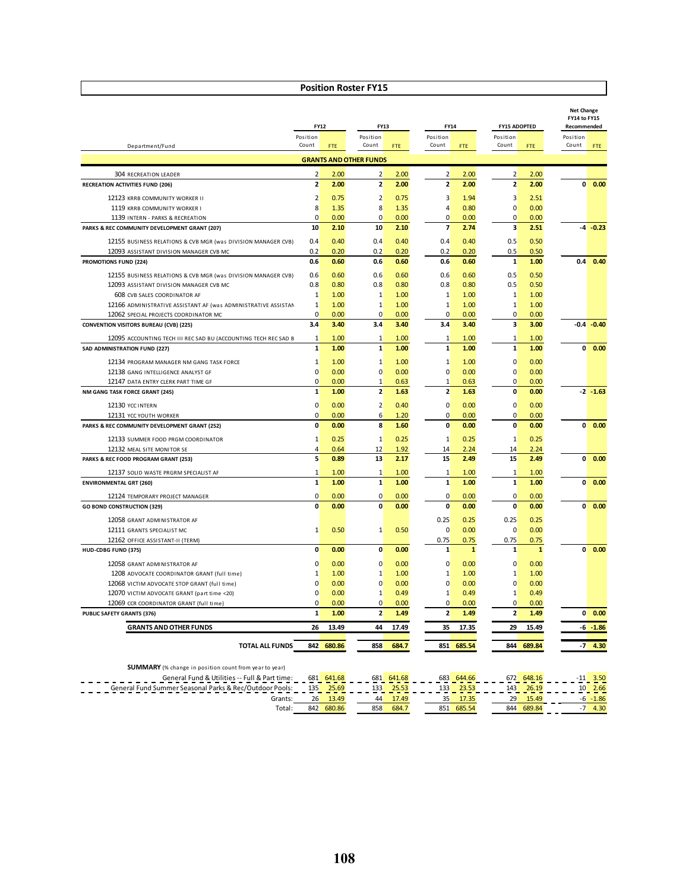|                                                                                                  |                              | <b>FY12</b>  | FY13                          |              |                   | FY14         |                         | <b>FY15 ADOPTED</b> | <b>Net Change</b><br>FY14 to FY15<br>Recommended |               |
|--------------------------------------------------------------------------------------------------|------------------------------|--------------|-------------------------------|--------------|-------------------|--------------|-------------------------|---------------------|--------------------------------------------------|---------------|
|                                                                                                  | Position                     |              | Position                      |              | Position          |              | Position                |                     | Position                                         |               |
| Department/Fund                                                                                  | Count                        | <b>FTE</b>   | Count                         | FTE.         | Count             | FTE.         | Count                   | FTE                 | Count                                            | <b>FTE</b>    |
|                                                                                                  |                              |              | <b>GRANTS AND OTHER FUNDS</b> |              |                   |              |                         |                     |                                                  |               |
| <b>304 RECREATION LEADER</b>                                                                     | $\overline{2}$               | 2.00         | 2                             | 2.00         | $\overline{2}$    | 2.00         | 2                       | 2.00                |                                                  |               |
| <b>RECREATION ACTIVITIES FUND (206)</b>                                                          | $\overline{2}$               | 2.00         | $\overline{2}$                | 2.00         | $\overline{2}$    | 2.00         | $\overline{2}$          | 2.00                | $\mathbf{0}$                                     | 0.00          |
| 12123 KRRB COMMUNITY WORKER II                                                                   | $\overline{2}$               | 0.75         | 2                             | 0.75         | 3                 | 1.94         | $\overline{\mathbf{3}}$ | 2.51                |                                                  |               |
| 1119 KRRB COMMUNITY WORKER I                                                                     | 8                            | 1.35         | 8                             | 1.35         | $\overline{4}$    | 0.80         | $\overline{0}$          | 0.00                |                                                  |               |
| 1139 INTERN - PARKS & RECREATION                                                                 | $\Omega$                     | 0.00         | $\Omega$                      | 0.00         | $\overline{0}$    | 0.00         | $\mathbf{0}$            | 0.00                |                                                  |               |
| PARKS & REC COMMUNITY DEVELOPMENT GRANT (207)                                                    | 10                           | 2.10         | 10                            | 2.10         | $\overline{7}$    | 2.74         | $\overline{\mathbf{3}}$ | 2.51                |                                                  | -4 -0.23      |
| 12155 BUSINESS RELATIONS & CVB MGR (was DIVISION MANAGER CVB)                                    | 0.4                          | 0.40         | 0.4                           | 0.40         | 0.4               | 0.40         | 0.5                     | 0.50                |                                                  |               |
| 12093 ASSISTANT DIVISION MANAGER CVB MC                                                          | 0.2                          | 0.20         | 0.2                           | 0.20         | 0.2               | 0.20         | 0.5                     | 0.50                |                                                  |               |
| PROMOTIONS FUND (224)                                                                            | 0.6                          | 0.60         | 0.6                           | 0.60         | 0.6               | 0.60         | $\mathbf{1}$            | 1.00                | 0.4                                              | 0.40          |
| 12155 BUSINESS RELATIONS & CVB MGR (was DIVISION MANAGER CVB)                                    | 0.6                          | 0.60         | 0.6                           | 0.60         | 0.6               | 0.60         | 0.5                     | 0.50                |                                                  |               |
| 12093 ASSISTANT DIVISION MANAGER CVB MC                                                          | 0.8                          | 0.80         | 0.8                           | 0.80         | 0.8               | 0.80         | 0.5                     | 0.50                |                                                  |               |
| 608 CVB SALES COORDINATOR AF                                                                     | 1                            | 1.00         | 1                             | 1.00         | 1                 | 1.00         | $\mathbf{1}$            | 1.00                |                                                  |               |
| 12166 ADMINISTRATIVE ASSISTANT AF (was ADMINISTRATIVE ASSISTAN                                   | 1                            | 1.00         | 1                             | 1.00         | $\mathbf{1}$      | 1.00         | $\mathbf{1}$            | 1.00                |                                                  |               |
| 12062 SPECIAL PROJECTS COORDINATOR MC                                                            | $\mathbf 0$                  | 0.00         | 0                             | 0.00         | $\mathbf 0$       | 0.00         | $\mathbf{0}$            | 0.00                |                                                  |               |
| <b>CONVENTION VISITORS BUREAU (CVB) (225)</b>                                                    | 3.4                          | 3.40         | 3.4                           | 3.40         | 3.4               | 3.40         | $\overline{\mathbf{3}}$ | 3.00                |                                                  | $-0.4 - 0.40$ |
|                                                                                                  |                              |              |                               |              |                   |              |                         |                     |                                                  |               |
| 12095 ACCOUNTING TECH III REC SAD BU (ACCOUNTING TECH REC SAD B<br>SAD ADMINISTRATION FUND (227) | $\mathbf{1}$<br>$\mathbf{1}$ | 1.00<br>1.00 | 1<br>$\mathbf{1}$             | 1.00<br>1.00 | 1<br>$\mathbf{1}$ | 1.00<br>1.00 | 1<br>$\mathbf{1}$       | 1.00<br>1.00        | $\mathbf{0}$                                     | 0.00          |
|                                                                                                  |                              |              |                               |              |                   |              |                         |                     |                                                  |               |
| 12134 PROGRAM MANAGER NM GANG TASK FORCE                                                         | $\mathbf{1}$                 | 1.00         | $\mathbf{1}$                  | 1.00         | $\mathbf{1}$      | 1.00         | $\Omega$                | 0.00                |                                                  |               |
| 12138 GANG INTELLIGENCE ANALYST GF                                                               | $\Omega$                     | 0.00         | $\Omega$                      | 0.00         | $\Omega$          | 0.00         | $\Omega$                | 0.00                |                                                  |               |
| 12147 DATA ENTRY CLERK PART TIME GF                                                              | $\Omega$                     | 0.00         | $\mathbf{1}$                  | 0.63         | $\mathbf{1}$      | 0.63         | $\Omega$                | 0.00                |                                                  |               |
| NM GANG TASK FORCE GRANT (245)                                                                   | $\mathbf{1}$                 | 1.00         | $\overline{2}$                | 1.63         | $\overline{2}$    | 1.63         | $\mathbf{0}$            | 0.00                |                                                  | $-2 - 1.63$   |
| 12130 YCC INTERN                                                                                 | $\mathbf 0$                  | 0.00         | 2                             | 0.40         | $\overline{0}$    | 0.00         | $\overline{0}$          | 0.00                |                                                  |               |
| 12131 YCC YOUTH WORKER                                                                           | $\Omega$                     | 0.00         | 6                             | 1.20         | $\Omega$          | 0.00         | $\Omega$                | 0.00                |                                                  |               |
| PARKS & REC COMMUNITY DEVELOPMENT GRANT (252)                                                    | 0                            | 0.00         | 8                             | 1.60         | $\mathbf{0}$      | 0.00         | $\mathbf{0}$            | 0.00                | $\mathbf{0}$                                     | 0.00          |
| 12133 SUMMER FOOD PRGM COORDINATOR                                                               | 1                            | 0.25         | $\mathbf{1}$                  | 0.25         | $\mathbf{1}$      | 0.25         | $\mathbf{1}$            | 0.25                |                                                  |               |
| 12132 MEAL SITE MONITOR SE                                                                       | $\overline{4}$               | 0.64         | 12                            | 1.92         | 14                | 2.24         | 14                      | 2.24                |                                                  |               |
| PARKS & REC FOOD PROGRAM GRANT (253)                                                             | 5                            | 0.89         | 13                            | 2.17         | 15                | 2.49         | 15                      | 2.49                | $\mathbf{0}$                                     | 0.00          |
| 12137 SOLID WASTE PRGRM SPECIALIST AF                                                            | $\mathbf{1}$                 | 1.00         | $\mathbf{1}$                  | 1.00         | $\mathbf{1}$      | 1.00         | $\mathbf{1}$            | 1.00                |                                                  |               |
| <b>ENVIRONMENTAL GRT (260)</b>                                                                   | $\mathbf{1}$                 | 1.00         | $\mathbf{1}$                  | 1.00         | $\mathbf{1}$      | 1.00         | $\mathbf{1}$            | 1.00                | $\mathbf{0}$                                     | 0.00          |
|                                                                                                  |                              |              |                               |              |                   |              |                         |                     |                                                  |               |
| 12124 TEMPORARY PROJECT MANAGER                                                                  | $\Omega$                     | 0.00         | 0                             | 0.00         | $\mathbf 0$       | 0.00         | n                       | 0.00                |                                                  |               |
| <b>GO BOND CONSTRUCTION (329)</b>                                                                | 0                            | 0.00         | $\mathbf{0}$                  | 0.00         | $\mathbf{0}$      | 0.00         | $\mathbf{0}$            | 0.00                | $\mathbf{0}$                                     | 0.00          |
| 12058 GRANT ADMINISTRATOR AF                                                                     |                              |              |                               |              | 0.25              | 0.25         | 0.25                    | 0.25                |                                                  |               |
| 12111 GRANTS SPECIALIST MC                                                                       | $\mathbf{1}$                 | 0.50         | $\mathbf{1}$                  | 0.50         | $\overline{0}$    | 0.00         | $\mathbf{0}$            | 0.00                |                                                  |               |
| 12162 OFFICE ASSISTANT-II (TERM)                                                                 |                              |              |                               |              | 0.75              | 0.75         | 0.75                    | 0.75                |                                                  |               |
| HUD-CDBG FUND (375)                                                                              | 0                            | 0.00         | $\mathbf{0}$                  | 0.00         | $\mathbf{1}$      | $\mathbf{1}$ | $\mathbf{1}$            | $\mathbf{1}$        | $\mathbf{0}$                                     | 0.00          |
| 12058 GRANT ADMINISTRATOR AF                                                                     | $\mathbf 0$                  | 0.00         | $\overline{0}$                | 0.00         | $\overline{0}$    | 0.00         | $\overline{0}$          | 0.00                |                                                  |               |
| 1208 ADVOCATE COORDINATOR GRANT (full time)                                                      | 1                            | 1.00         | 1                             | 1.00         | 1                 | 1.00         | 1                       | 1.00                |                                                  |               |
| 12068 VICTIM ADVOCATE STOP GRANT (full time)                                                     | $\Omega$                     | 0.00         | $\mathbf 0$                   | 0.00         | $\Omega$          | 0.00         | $\Omega$                | 0.00                |                                                  |               |
| 12070 VICTIM ADVOCATE GRANT (part time <20)                                                      | $\mathbf 0$                  | 0.00         | $\mathbf{1}$                  | 0.49         | $1\overline{ }$   | 0.49         | $\mathbf{1}$            | 0.49                |                                                  |               |
| 12069 CCR COORDINATOR GRANT (full time)                                                          | $\mathbf 0$                  | 0.00         | $\overline{0}$                | 0.00         | $\overline{0}$    | 0.00         | $\mathbf{0}$            | 0.00                |                                                  |               |
| PUBLIC SAFETY GRANTS (376)                                                                       | $\mathbf{1}$                 | 1.00         | $\overline{2}$                | 1.49         | $\overline{2}$    | 1.49         | $\overline{2}$          | 1.49                | $\mathbf{0}$                                     | 0.00          |
| <b>GRANTS AND OTHER FUNDS</b>                                                                    | 26                           | 13.49        | 44                            | 17.49        | 35                | 17.35        | 29                      | 15.49               |                                                  | $-6 - 1.86$   |
|                                                                                                  |                              |              |                               |              |                   |              |                         |                     |                                                  |               |
| <b>TOTAL ALL FUNDS</b>                                                                           | 842                          | 680.86       | 858                           | 684.7        | 851               | 685.54       | 844                     | 689.84              | -7                                               | 4.30          |

**SUMMARY** (% change in position count from year to year)

| General Fund & Utilities -- Full & Part time:           | 681 | 641.68 | 681 | 641.68 | 683   | 644.66 | 672 | 648.16 | . . | 3.50             |
|---------------------------------------------------------|-----|--------|-----|--------|-------|--------|-----|--------|-----|------------------|
| General Fund Summer Seasonal Parks & Rec/Outdoor Pools: | 135 | 25.69  | 133 |        | 1 2 2 |        | 143 | 26.19  |     | 2.66             |
| Grants:                                                 | 26  | 13.49  | 44  |        | 25    | 7.35   | 29  | 15.49  |     | $-1.86$          |
| Total:                                                  | 842 | 680.86 | 858 | 684.   | 851   | 685.54 | 844 | 689.84 |     | 4.3 <sup>c</sup> |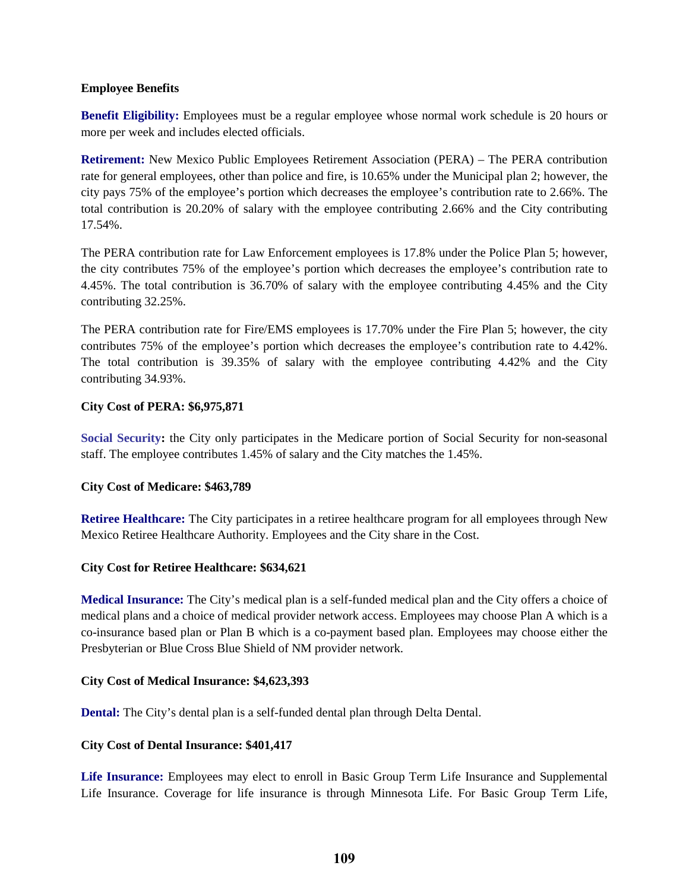# **Employee Benefits**

**Benefit Eligibility:** Employees must be a regular employee whose normal work schedule is 20 hours or more per week and includes elected officials.

 **Retirement:** New Mexico Public Employees Retirement Association (PERA) – The PERA contribution 17.54%. rate for general employees, other than police and fire, is 10.65% under the Municipal plan 2; however, the city pays 75% of the employee's portion which decreases the employee's contribution rate to 2.66%. The total contribution is 20.20% of salary with the employee contributing 2.66% and the City contributing

 the city contributes 75% of the employee's portion which decreases the employee's contribution rate to The PERA contribution rate for Law Enforcement employees is 17.8% under the Police Plan 5; however, 4.45%. The total contribution is 36.70% of salary with the employee contributing 4.45% and the City contributing 32.25%.

 The PERA contribution rate for Fire/EMS employees is 17.70% under the Fire Plan 5; however, the city contributes 75% of the employee's portion which decreases the employee's contribution rate to 4.42%. The total contribution is 39.35% of salary with the employee contributing 4.42% and the City contributing 34.93%.

### **City Cost of PERA: \$6,975,871**

 staff. The employee contributes 1.45% of salary and the City matches the 1.45%. **Social Security:** the City only participates in the Medicare portion of Social Security for non-seasonal

# **City Cost of Medicare: \$463,789**

 Mexico Retiree Healthcare Authority. Employees and the City share in the Cost. **Retiree Healthcare:** The City participates in a retiree healthcare program for all employees through New

# **City Cost for Retiree Healthcare: \$634,621**

 co-insurance based plan or Plan B which is a co-payment based plan. Employees may choose either the **Medical Insurance:** The City's medical plan is a self-funded medical plan and the City offers a choice of medical plans and a choice of medical provider network access. Employees may choose Plan A which is a Presbyterian or Blue Cross Blue Shield of NM provider network.

### **City Cost of Medical Insurance: \$4,623,393**

**Dental:** The City's dental plan is a self-funded dental plan through Delta Dental.

### **City Cost of Dental Insurance: \$401,417**

 Life Insurance. Coverage for life insurance is through Minnesota Life. For Basic Group Term Life, **Life Insurance:** Employees may elect to enroll in Basic Group Term Life Insurance and Supplemental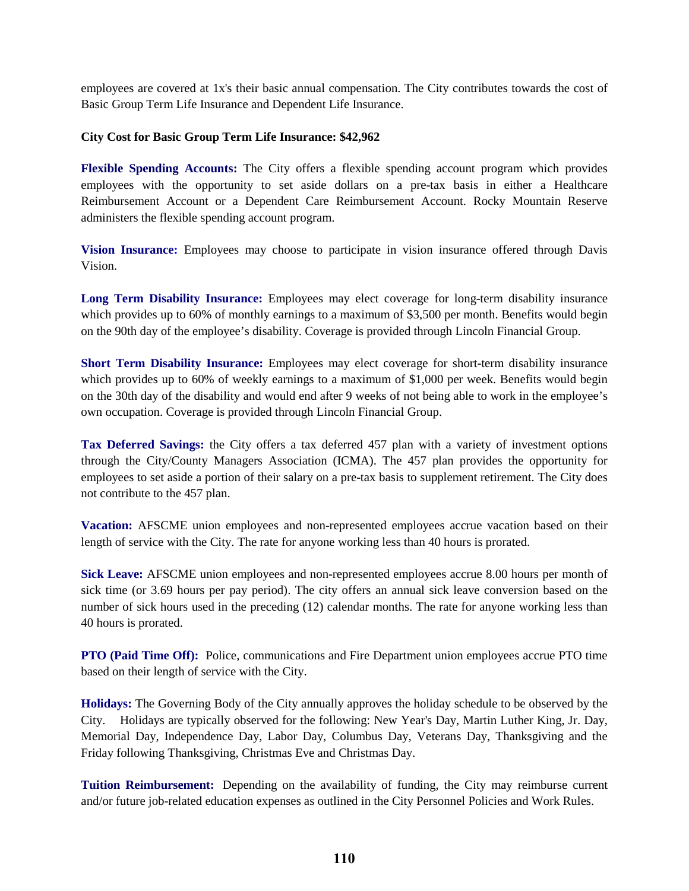employees are covered at 1x's their basic annual compensation. The City contributes towards the cost of Basic Group Term Life Insurance and Dependent Life Insurance.

# **City Cost for Basic Group Term Life Insurance: \$42,962**

**Flexible Spending Accounts:** The City offers a flexible spending account program which provides employees with the opportunity to set aside dollars on a pre-tax basis in either a Healthcare Reimbursement Account or a Dependent Care Reimbursement Account. Rocky Mountain Reserve administers the flexible spending account program.

**Vision Insurance:** Employees may choose to participate in vision insurance offered through Davis Vision.

 on the 90th day of the employee's disability. Coverage is provided through Lincoln Financial Group. **Long Term Disability Insurance:** Employees may elect coverage for long-term disability insurance which provides up to 60% of monthly earnings to a maximum of \$3,500 per month. Benefits would begin

**Short Term Disability Insurance:** Employees may elect coverage for short-term disability insurance on the 30th day of the disability and would end after 9 weeks of not being able to work in the employee's which provides up to 60% of weekly earnings to a maximum of \$1,000 per week. Benefits would begin own occupation. Coverage is provided through Lincoln Financial Group.

**Tax Deferred Savings:** the City offers a tax deferred 457 plan with a variety of investment options through the City/County Managers Association (ICMA). The 457 plan provides the opportunity for employees to set aside a portion of their salary on a pre-tax basis to supplement retirement. The City does not contribute to the 457 plan.

Vacation: AFSCME union employees and non-represented employees accrue vacation based on their length of service with the City. The rate for anyone working less than 40 hours is prorated.

 **Sick Leave:** AFSCME union employees and non-represented employees accrue 8.00 hours per month of number of sick hours used in the preceding (12) calendar months. The rate for anyone working less than sick time (or 3.69 hours per pay period). The city offers an annual sick leave conversion based on the 40 hours is prorated.

**PTO (Paid Time Off):** Police, communications and Fire Department union employees accrue PTO time based on their length of service with the City.

 **Holidays:** The Governing Body of the City annually approves the holiday schedule to be observed by the City. Holidays are typically observed for the following: New Year's Day, Martin Luther King, Jr. Day, Memorial Day, Independence Day, Labor Day, Columbus Day, Veterans Day, Thanksgiving and the Friday following Thanksgiving, Christmas Eve and Christmas Day.

 **Tuition Reimbursement:** Depending on the availability of funding, the City may reimburse current and/or future job-related education expenses as outlined in the City Personnel Policies and Work Rules.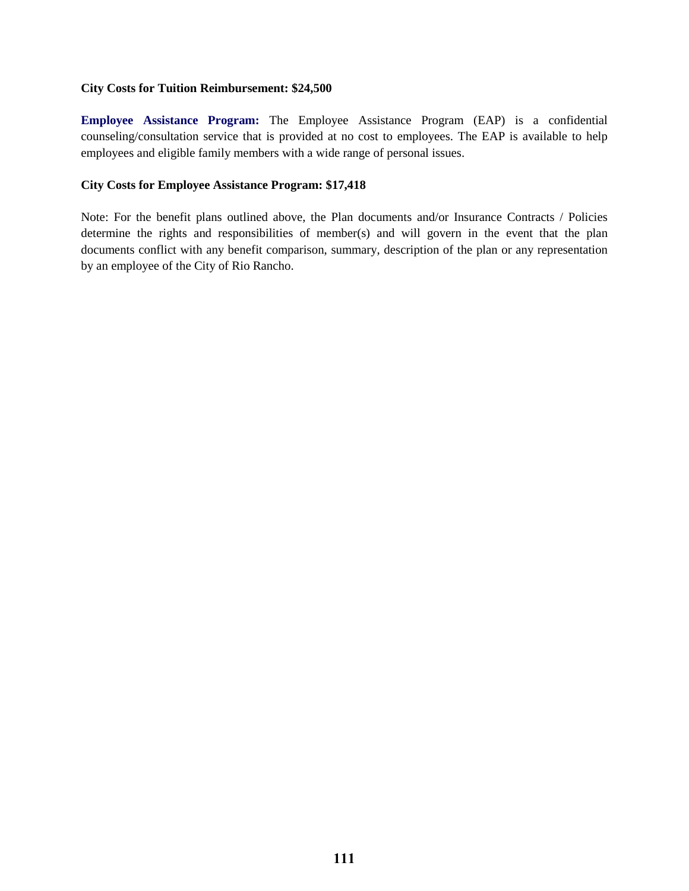### **City Costs for Tuition Reimbursement: \$24,500**

 **Employee Assistance Program:** The Employee Assistance Program (EAP) is a confidential counseling/consultation service that is provided at no cost to employees. The EAP is available to help employees and eligible family members with a wide range of personal issues.

# **City Costs for Employee Assistance Program: \$17,418**

 determine the rights and responsibilities of member(s) and will govern in the event that the plan Note: For the benefit plans outlined above, the Plan documents and/or Insurance Contracts / Policies documents conflict with any benefit comparison, summary, description of the plan or any representation by an employee of the City of Rio Rancho.